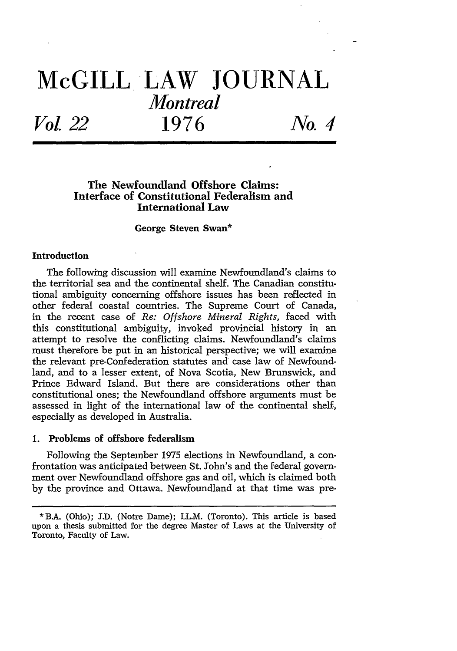# **McGILL LAW JOURNAL** *Montreal Vo 122* **1976** *No. 4*

## **The Newfoundland Offshore Claims: Interface of Constitutional Federalism and International Law**

#### **George Steven Swan\***

#### **Introduction**

The following discussion will examine Newfoundland's claims to the territorial sea and the continental shelf. The Canadian constitutional ambiguity concerning offshore issues has been reflected in other federal coastal countries. The Supreme Court of Canada, in the recent case of *Re: Offshore Mineral Rights,* faced with this constitutional ambiguity, invoked provincial history in an attempt to resolve the conflicting claims. Newfoundland's claims must therefore be put in an historical perspective; we will examine the relevant pre-Confederation statutes and case law of Newfoundland, and to a lesser extent, of Nova Scotia, New Brunswick, and Prince Edward Island. But there are considerations other than constitutional ones; the Newfoundland offshore arguments must be assessed in light of the international law of the continental shelf, especially as developed in Australia.

### **1.** Problems of offshore federalism

Following the September 1975 elections in Newfoundland, a confrontation was anticipated between St. John's and the federal government over Newfoundland offshore gas and oil, which is claimed both by the province and Ottawa. Newfoundland at that time was pre-

**<sup>\*</sup>** BA. (Ohio); J.D. (Notre Dame); LL.M. (Toronto). This article is based upon a thesis submitted for the degree Master of Laws at the University of Toronto, Faculty of Law.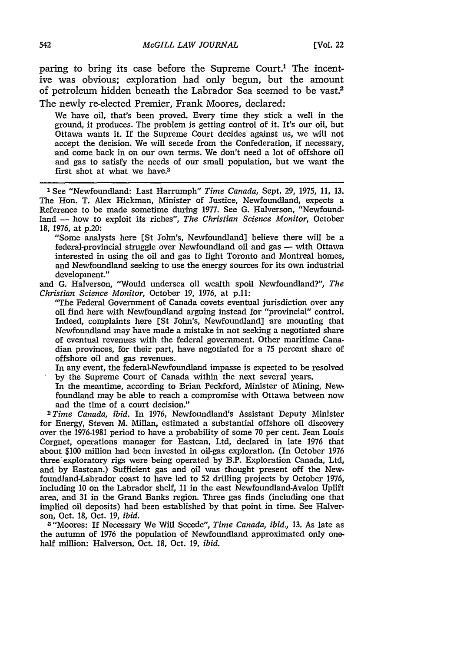paring to bring its case before the Supreme Court.<sup>1</sup> The incentive was obvious; exploration had only begun, but the amount of petroleum hidden beneath the Labrador Sea seemed to be vast.2 The newly re-elected Premier, Frank Moores, declared:

We have oil, that's been proved. Every time they stick a well in the ground, it produces. The problem is getting control of it. It's our oil, but Ottawa wants it. If the Supreme Court decides against us, we will not accept the decision. We will secede from the Confederation, if necessary, and come back in on our own terms. We don't need a lot of offshore oil and gas to satisfy the needs of our small population, but we want the first shot at what we have.3

**<sup>1</sup>**See "Newfoundland: Last Harrumph" *Time Canada,* Sept. 29, 1975, 11, 13. The Hon. T. Alex Hickman, Minister of Justice, Newfoundland, expects a Reference to be made sometime during 1977. See G. Halverson, "Newfoundland - how to exploit its riches", *The Christian Science Monitor*, October 18, 1976, at **p.20:**

"Some analysts here [St John's, Newfoundland] believe there will be a federal-provincial struggle over Newfoundland oil and gas - with Ottawa interested in using the oil and gas to light Toronto and Montreal homes, and Newfoundland seeking to use the energy sources for its own industrial development."

and G. Halverson, "Would undersea oil wealth spoil Newfoundland?", *The Christian Science Monitor,* October 19, 1976, at **p.11:**

"The Federal Government of Canada covets eventual jurisdiction over any oil find here with Newfoundland arguing instead for "provincial" control. Indeed, complaints here [St John's, Newfoundland] are mounting that Newfoundland may have made a mistake in not seeking a negotiated share of eventual revenues with the federal government. Other maritime Canadian provinces, for their part, have negotiated for a 75 percent share of offshore oil and gas revenues.

In any event, the federal-Newfoundland impasse is expected to be resolved by the Supreme Court of Canada within the next several years.

In the meantime, according to Brian Peckford, Minister of Mining, Newfoundland may be able to reach a compromise with Ottawa between now and the time of a court decision." *<sup>2</sup> Time Canada, ibid.* In 1976, Newfoundland's Assistant Deputy Minister

for Energy, Steven M. Millan, estimated a substantial offshore oil discovery over the 1976-1981 period to have a probability of some 70 per cent. Jean Louis Corgnet, operations manager for Eastcan, Ltd, declared in late 1976 that about \$100 million had been invested in oil-gas exploration. (In October 1976 three'exploratory rigs were being operated by B.P. Exploration Canada, Ltd, and by Eastcan.) Sufficient gas and oil was thought present off the Newfoundland-Labrador coast to have led to 52 drilling projects by October 1976, including 10 on the Labrador shelf, 11 in the east Newfoundland-Avalon Uplift area, and 31 in the Grand Banks region. Three gas finds (including one that implied oil deposits) had been established by that point in time. See Halverson, Oct. 18, Oct. *19, ibid.*

<sup>3</sup> "Moores: If Necessary We Will Secede", *Time Canada, ibid.,* 13. As late as the autumn of 1976 the population of Newfoundland approximated only onehalf million: Halverson, Oct. 18, Oct. *19, ibid.*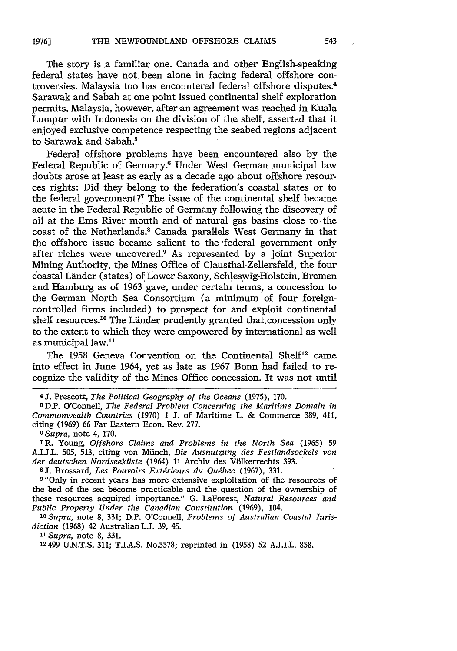The story is a familiar one. Canada and other English-speaking federal states have not been alone in facing federal offshore controversies. Malaysia too has encountered federal offshore disputes. <sup>4</sup> Sarawak and Sabah at one point issued continental shelf exploration permits. Malaysia, however, after an agreement was reached in Kuala Lumpur with Indonesia on the division of the shelf, asserted that it enjoyed exclusive competence respecting the seabed regions adjacent to Sarawak and Sabah.<sup>5</sup>

Federal offshore problems have been encountered also by the Federal Republic of Germany.6 Under West German municipal law doubts arose at least as early as a decade ago about offshore resources rights: Did they belong to the federation's coastal states or to the federal government?7 The issue of the continental shelf became acute in the Federal Republic of Germany following the discovery of oil at the Ems River mouth and of natural gas basins close to the coast of the Netherlands." Canada parallels West Germany in that the offshore issue became salient to the federal government only after riches were uncovered.<sup>9</sup> As represented by a joint Superior Mining Authority, the Mines Office of Clausthal-Zellersfeld, the four coastal Länder (states) of Lower Saxony, Schleswig-Holstein, Bremen and Hamburg as of 1963 gave, under certain terms, a concession to the German North Sea Consortium (a minimum of four foreigncontrolled firms included) to prospect for and exploit continental shelf resources.<sup>10</sup> The Länder prudently granted that.concession only to the extent to which they were empowered by international as well as municipal law.<sup>11</sup>

The 1958 Geneva Convention on the Continental Shelf'2 came into effect in June 1964, yet as late as 1967 Bonn had failed to recognize the validity of the Mines Office concession. It was not until

<sup>4</sup>**J.** Prescott, *The Political Geography of the Oceans* (1975), 170.

GD.P. O'Connell, *The Federal Problem Concerning the Maritime Domain in Commonwealth Countries* (1970) 1 **J.** of Maritime L. & Commerce 389, 411, citing (1969) 66 Far Eastern Econ. Rev. 277.

*o Supra,* note 4, 170.

**7** R. Young, *Offshore Claims and Problems in the North Sea* (1965) 59 A.I.J.L. 505, 513, citing von MiInch, *Die Ausnutzung des Festlandsockels von der deutschen Nordseekilste* (1964) 11 Archiv des V6lkerrechts 393.

**8J.** Brossard, *Les Pouvoirs Extdrieurs du Quebec* (1967), 331.

9"Only in recent years has more extensive exploitation of the resources of the bed of the sea become practicable and the question of the ownership of these resources acquired importance." G. LaForest, *Natural Resources and Public Property Under the Canadian Constitution* (1969), 104.

*10 Supra,* note 8, 331; D.P. O'Connell, *Problems of Australian Coastal Jurisdiction* (1968) 42 Australian **L.J.** 39, 45.

*"1 Supra,* note 8, 331.

12 499 U.N.T.S. 311; T.I.A.S. No.5578; reprinted in (1958) 52 A.J.I.L. 858.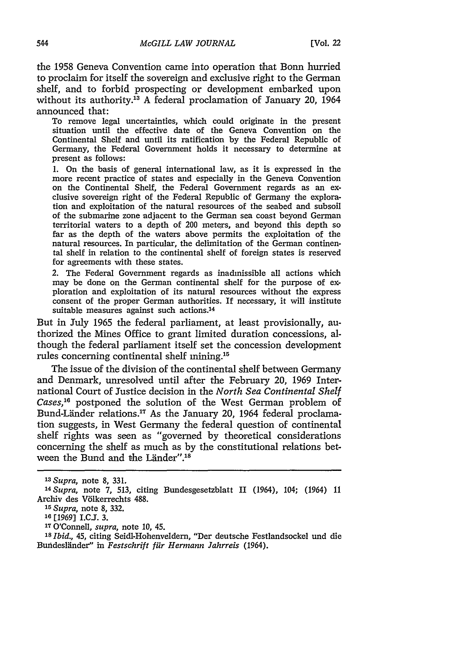the 1958 Geneva Convention came into operation that Bonn hurried to proclaim for itself the sovereign and exclusive right to the German shelf, and to forbid prospecting or development embarked upon without its authority.<sup>13</sup> A federal proclamation of January 20, 1964 announced that:

To remove legal uncertainties, which could originate in the present situation until the effective date of the Geneva Convention on the Continental Shelf and until its ratification by the Federal Republic of Germany, the Federal Government holds it necessary to determine at present as follows:

**1.** On the basis of general international law, as it is expressed in the more recent practice of states and especially in the Geneva Convention on the Continental Shelf, the Federal Government regards as an exclusive sovereign right of the Federal Republic of Germany the exploration and exploitation of the natural resources of the seabed and subsoil of the submarine zone adjacent to the German sea coast beyond German territorial waters to a depth of 200 meters, and beyond this depth so far as the depth of the waters above permits the exploitation of the natural resources. In particular, the delimitation of the German continental shelf in relation to the continental shelf of foreign states is reserved for agreements with these states.

2. The Federal Government regards as inadmissible all actions which may be done on the German continental shelf for the purpose of exploration and exploitation of its natural resources without the express consent of the proper German authorities. If necessary, it will institute suitable measures against such actions.<sup>14</sup>

But in July 1965 the federal parliament, at least provisionally, authorized the Mines Office to grant limited duration concessions, although the federal parliament itself set the concession development rules concerning continental shelf mining.<sup>15</sup>

The issue of the division of the continental shelf between Germany and Denmark, unresolved until after the February 20, 1969 International Court of Justice decision in the *North Sea Continental Shelf* Cases,<sup>16</sup> postponed the solution of the West German problem of Bund-Länder relations.<sup>17</sup> As the January 20, 1964 federal proclamation suggests, in West Germany the federal question of continental shelf rights was seen as "governed by theoretical considerations concerning the shelf as much as by the constitutional relations between the Bund and the Länder".<sup>18</sup>

**<sup>17</sup>**O'Connell, *supra,* note **10,** 45.

*<sup>13</sup>Supra,* note 8, 331.

*<sup>14</sup>Supra,* note 7, 513, citing Bundesgesetzblatt II (1964), 104; (1964) 11 Archiv des Völkerrechts 488.

*<sup>15</sup>Supra,* note 8, 332.

**<sup>16</sup>**[1969] I.CJ. **3.**

*<sup>18</sup> Ibid.,* 45, citing Seidl-Hohenveldern, "Der deutsche Festlandsockel und die Bundeslinder" in *Festschrift ffir Hermann Jahrreis* (1964).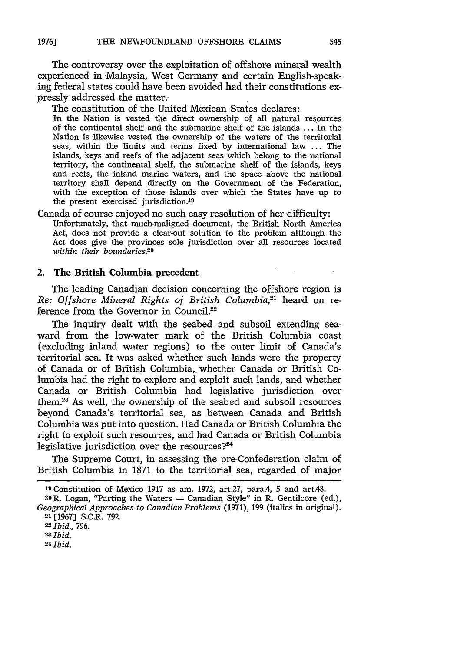The controversy over the exploitation of offshore mineral wealth experienced in Malaysia, West Germany and certain English-speaking federal states could have been avoided had their constitutions expressly addressed the matter.

The constitution of the United Mexican States declares:

In the Nation is vested the direct ownership of all natural resources of the continental shelf and the submarine shelf of the islands ... In the Nation is likewise vested the ownership of the waters of the territorial seas, within the limits and terms fixed by international law ... The islands, keys and reefs of the adjacent seas which belong to the national territory, the continental shelf, the submarine shelf of the islands, keys and reefs, the inland marine waters, and the space above the national territory shall depend directly on the Government of the Federation, with the exception of those islands over which the States have up to the present exercised jurisdiction.19

Canada of course enjoyed no such easy resolution of her difficulty:

Unfortunately, that much-maligned document, the British North America Act, does not provide a clear-out solution to the problem although the Act does give the provinces sole jurisdiction over all resources located *within their boundaries.20*

#### 2. The British Columbia precedent

The leading Canadian decision concerning the offshore region is *Re: Offshore Mineral Rights of British Columbia,2'* heard on reference from the Governor in Council.<sup>22</sup>

The inquiry dealt with the seabed and subsoil extending seaward from the low-water mark of the British Columbia coast (excluding inland water regions) to the outer limit of Canada's territorial sea. It was asked whether such lands were the property of Canada or of British Columbia, whether Canada or British Columbia had the right to explore and exploit such lands, and whether Canada or British Columbia had legislative jurisdiction over them.? As well, the ownership of the seabed and subsoil resources beyond Canada's territorial sea, as between Canada and British Columbia was put into question. Had Canada or British Columbia the right to exploit such resources, and had Canada or British Columbia legislative jurisdiction over the resources?<sup>24</sup>

The Supreme Court, in assessing the pre-Confederation claim of British Columbia in 1871 to the territorial sea, regarded of major

*24 Ibid.*

<sup>&</sup>lt;sup>19</sup> Constitution of Mexico 1917 as am. 1972, art.27, para.4, 5 and art.48.<br><sup>20</sup> R. Logan, "Parting the Waters — Canadian Style" in R. Gentilcore (ed.),

*Geographical Approaches to Canadian Problems* (1971), 199 (italics in original). 21 [1967] S.C.R. 792.

**<sup>22</sup>***Ibid.,* 796.

*<sup>23</sup>Ibid.*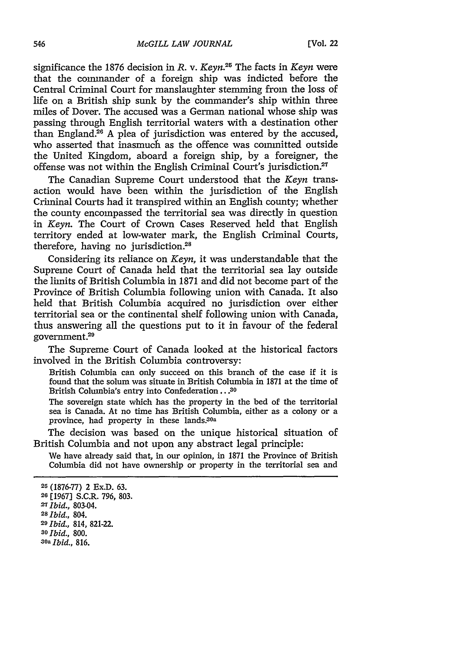significance the 1876 decision in *R.* v. *Keyn.25* The facts in *Keyn* were that the commander of a foreign ship was indicted before the Central Criminal Court for manslaughter stemming from the loss of life on a British ship sunk by the commander's ship within three miles of Dover. The accused was a German national whose ship was passing through English territorial waters with a destination other than England. $26$  A plea of jurisdiction was entered by the accused, who asserted that inasmuch as the offence was committed outside the United Kingdom, aboard a foreign ship, by a foreigner, the offense was not within the English Criminal Court's jurisdiction.<sup>27</sup>

The Canadian Supreme Court understood that the *Keyn* transaction would have been within the jurisdiction of the English Criminal Courts had it transpired within an English county; whether the county encompassed the territorial sea was directly in question in *Keyn.* The Court of Crown Cases Reserved held that English territory ended at low-water mark, the English Criminal Courts, therefore, having no jurisdiction.<sup>28</sup>

Considering its reliance on *Keyn,* it was understandable that the Supreme Court of Canada held that the territorial sea lay outside the limits of British Columbia in 1871 and did not become part of the Province of British Columbia following union with Canada. It also held that British Columbia acquired no jurisdiction over either territorial sea or the continental shelf following union with Canada, thus answering all the questions put to it in favour of the federal government.29

The Supreme Court of Canada looked at the historical factors involved in the British Columbia controversy:

British Columbia can only succeed on this branch of the case if it is found that the solum was situate in British Columbia in 1871 at the time of British Columbia's entry into Confederation.. **.30**

The sovereign state which has the property in the bed of the territorial sea is Canada. At no time has British Columbia, either as a colony or a province, had property in these lands 30a

The decision was based on the unique historical situation of British Columbia and not upon any abstract legal principle:

We have already said that, in our opinion, in 1871 the Province of British Columbia did not have ownership or property in the territorial sea and

*30a Ibid.,* 816.

**<sup>25</sup>** (1876-77) 2 Ex.D. 63.

<sup>26 [1967]</sup> S.C.R. 796, 803.

*<sup>=</sup> Ibid.,* 803-04.

*<sup>28</sup>Ibid.,* 804.

**<sup>29</sup>***Ibid.,* 814, **821-22.**

*<sup>30</sup>Ibid.,* 800.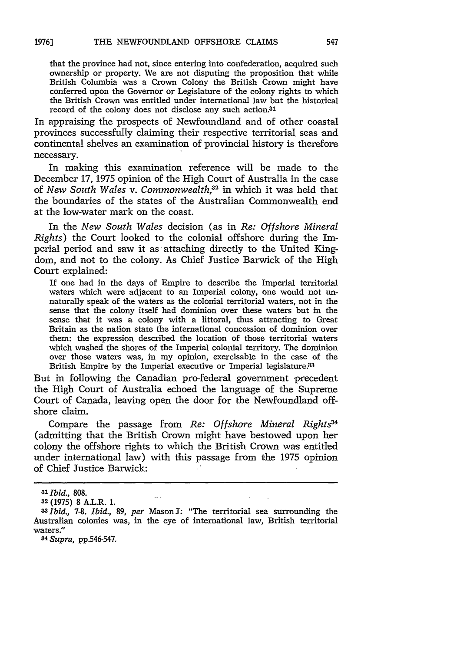that the province had not, since entering into confederation, acquired such ownership or property. We are not disputing the proposition that while British Columbia was a Crown Colony the British Crown might have conferred upon the Governor or Legislature of the colony rights to which the British Crown was entitled under international law but the historical record of the colony does not disclose any such action.<sup>31</sup>

In appraising the prospects of Newfoundland and of other coastal provinces successfully claiming their respective territorial seas and continental shelves an examination of provincial history is therefore necessary.

in making this examination reference will be made to the December 17, 1975 opinion of the High Court of Australia in the case of *New South Wales v. Commonwealth,3 <sup>2</sup>*in which it was held that the boundaries of the states of the Australian Commonwealth end at the low-water mark on the coast.

In the *New South Wales* decision (as in *Re: Offshore Mineral Rights)* the Court looked to the colonial offshore during the Imperial period and saw it as attaching directly to the United Kingdom, and not to the colony. As Chief Justice Barwick of the High Court explained:

If one had in the days of Empire to describe the Imperial territorial waters which were adjacent to an Imperial colony, one would not unnaturally speak of the waters as the colonial territorial waters, not in the sense that the colony itself had dominion over these waters but in the sense that it was a colony with a littoral, thus attracting to Great Britain as the nation state the international concession of dominion over them: the expression described the location of those territorial waters which washed the shores of the Imperial colonial territory. The dominion over those waters was, in my opinion, exercisable in the case of the British Empire by the Imperial executive or Imperial legislature.<sup>33</sup>

But in following the Canadian pro-federal government precedent the High Court of Australia echoed the language of the Supreme Court of Canada, leaving open the door for the Newfoundland offshore claim.

Compare the passage from *Re: Offshore Mineral Rights*<sup>34</sup> (admitting that the British Crown might have bestowed upon her colony the offshore rights to which the British Crown was entitled under international law) with this passage from the 1975 opinion of Chief Justice Barwick:

*34 Supra,* pp.546-547.

**<sup>-3</sup>** *Ibid.,* 808.

**<sup>32</sup>** (1975) 8 A.L.R. 1.

**<sup>33</sup>***Ibid., 7-8. Ibid., 89, per* Mason **J:** "The territorial sea surrounding the Australian colonies was, in the eye of international law, British territorial waters."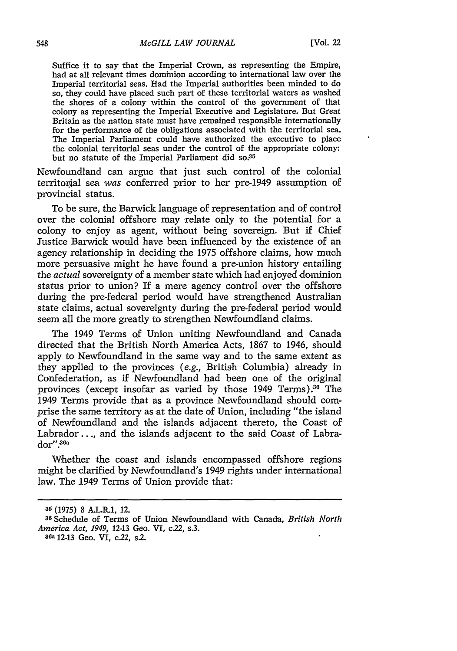Suffice it to say that the Imperial Crown, as representing the Empire, had at all relevant times dominion according to international law over the Imperial territorial seas. Had the Imperial authorities been minded to do so, they could have placed such part of these territorial waters as washed the shores of a colony within the control of the government of that colony as representing the Imperial Executive and Legislature. But Great Britain as the nation state must have remained responsible internationally for the performance of the obligations associated with the territorial sea. The Imperial Parliament could have authorized the executive to place the colonial territorial seas under the control of the appropriate colony: but no statute of the Imperial Parliament did so.<sup>35</sup>

Newfoundland can argue that just such control of the colonial territorial sea *was* conferred prior to her pre-1949 assumption of provincial status.

To be sure, the Barwick language of representation and of control over the colonial offshore may relate only to the potential for a colony to enjoy as agent, without being sovereign. But if Chief Justice Barwick would have been influenced by the existence of an agency relationship in deciding the 1975 offshore claims, how much more persuasive might he have found a pre-union history entailing the *actual* sovereignty of a member state which had enjoyed dominion status prior to union? If a mere agency control over the offshore during the pre-federal period would have strengthened Australian state claims, actual sovereignty during the pre-federal period would seem all the more greatly to strengthen Newfoundland claims.

The 1949 Terms of Union uniting Newfoundland and Canada directed that the British North America Acts, 1867 to 1946, should apply to Newfoundland in the same way and to the same extent as they applied to the provinces *(e.g.,* British Columbia) already in Confederation, as if Newfoundland had been one of the original provinces (except insofar as varied by those  $1949$  Terms).<sup>36</sup> The 1949 Terms provide that as a province Newfoundland should comprise the same territory as at the date of Union, including "the island of Newfoundland and the islands adjacent thereto, the Coast of Labrador..., and the islands adjacent to the said Coast of Labrador".<sup>36a</sup>

Whether the coast and islands encompassed offshore regions might be clarified by Newfoundland's 1949 rights under international law. The 1949 Terms of Union provide that:

**<sup>35</sup>**(1975) 8 A.L.R.1, 12.

**<sup>-6</sup>** Schedule of Terms of Union Newfoundland with Canada, *British North America Act, 1949,* **12-13** Geo. VI, c.22, s.3.

**sea 12-13** Geo. VI, c.22, s.2.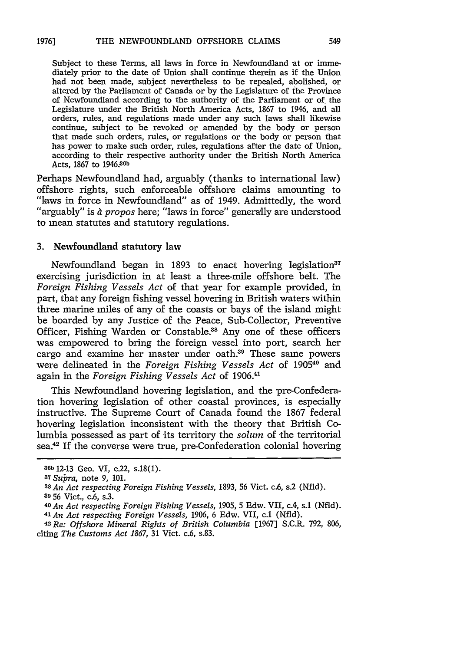Subject to these Terms, all laws in force in Newfoundland at or immediately prior to the date of Union shall continue therein as if the Union had not been made, subject nevertheless to be repealed, abolished, or altered by the Parliament of Canada or by the Legislature of the Province of Newfoundland according to the authority of the Parliament or of the Legislature under the British North America Acts, 1867 to 1946, and all orders, rules, and regulations made under any such laws shall likewise continue, subject to be revoked or amended by the body or person that made such orders, rules, or regulations or the body or person that has power to make such order, rules, regulations after the date of Union, according to their respective authority under the British North America Acts, 1867 to 1946, 36b

Perhaps Newfoundland had, arguably (thanks to international law) offshore rights, such enforceable offshore claims amounting to "laws in force in Newfoundland" as of 1949. Admittedly, the word "arguably" is *& propos* here; "laws in force" generally are understood to mean statutes and statutory regulations.

#### **3.** Newfoundland statutory law

Newfoundland began in 1893 to enact hovering legislation<sup>37</sup> exercising jurisdiction in at least a three-mile offshore belt. The *Foreign Fishing Vessels Act* of that year for example provided, in part, that any foreign fishing vessel hovering in British waters within three marine miles of any of the coasts or bays of the island might be boarded by any Justice of the Peace, Sub-Collector, Preventive Officer, Fishing Warden or Constable.<sup>38</sup> Any one of these officers was empowered to bring the foreign vessel into port, search her cargo and examine her master under oath.<sup>39</sup> These same powers were delineated in the *Foreign Fishing Vessels Act* of 190540 and again in the *Foreign Fishing Vessels Act* of 1906."-

This Newfoundland hovering legislation, and the pre-Confederation hovering legislation of other coastal provinces, is especially instructive. The Supreme Court of Canada found the 1867 federal hovering legislation inconsistent with the theory that British Columbia possessed as part of its territory the *solum* of the territorial sea.<sup>42</sup> If the converse were true, pre-Confederation colonial hovering

**<sup>36</sup>b** 12-13 Geo. VI, c.22, s.18(1).

**<sup>37</sup>***Subra,* note 9, 101.

**<sup>38</sup>***An Act respecting Foreign Fishing Vessels,* 1893, 56 Vict. c.6, s.2 (Nfld). **30 56** Vict., c.6, s.3.

**<sup>40</sup>***An Act respecting Foreign Fishing Vessels,* 1905, 5 Edw. VII, c.4, s.1 (Nfld). <sup>41</sup>*An Act respecting Foreign Vessels,* 1906, 6 Edw. VII, c.1 (Nfld).

**<sup>42</sup>***Re: Offshore Mineral Rights of British Columbia* [1967] S.C.R. 792, 806, citing *The Customs Act 1867,* 31 Vict. c.6, s.83.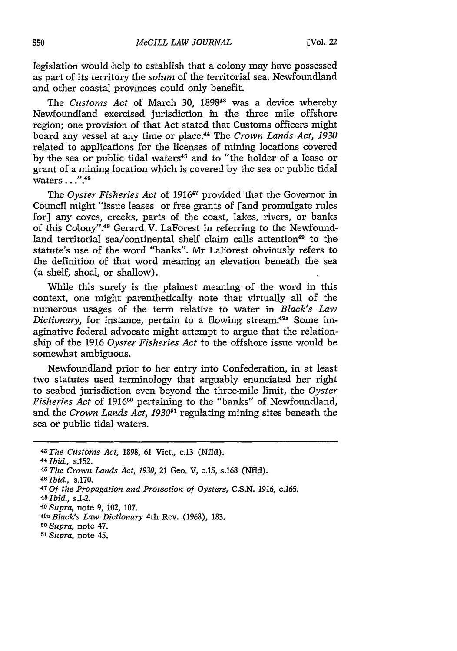legislation would 'help to establish that a colony may have possessed as part of its territory the *solum* of the territorial sea. Newfoundland and other coastal provinces could only benefit.

The *Customs Act* of March 30, 1898<sup>43</sup> was a device whereby Newfoundland exercised jurisdiction in the three mile offshore region; one provision of that Act stated that Customs officers might board any vessel at any time or place.44 The *Crown Lands Act, 1930* related to applications for the licenses of mining locations covered by the sea or public tidal waters<sup>45</sup> and to "the holder of a lease or grant of a mining location which is covered by the sea or public tidal waters **...." 46**

The *Oyster Fisheries Act* of 191647 provided that the Governor in Council might "issue leases or free grants of [and promulgate rules for] any coves, creeks, parts of the coast, lakes, rivers, or banks of this Colony".<sup>48</sup> Gerard V. LaForest in referring to the Newfoundland territorial sea/continental shelf claim calls attention<sup>49</sup> to the statute's use of the word "banks". Mr LaForest obviously refers to the definition of that word meaning an elevation beneath the sea (a shelf, shoal, or shallow).

While this surely is the plainest meaning of the word in this context, one might parenthetically note that virtually all of the numerous usages of the term relative to water in *Black's Law Dictionary*, for instance, pertain to a flowing stream.<sup>49a</sup> Some imaginative federal advocate might attempt to argue that the relationship of the 1916 *Oyster Fisheries Act* to the offshore issue would be somewhat ambiguous.

Newfoundland prior to her entry into Confederation, in at least two statutes used terminology that arguably enunciated her right to seabed jurisdiction even beyond the three-mile limit, the *Oyster Fisheries Act* of 191650 pertaining to the "banks" of Newfoundland, and the *Crown Lands Act, 193051* regulating mining sites beneath the sea or public tidal waters.

*<sup>43</sup> The Customs Act,* 1898, 61 Vict., c.13 (Nfld).

<sup>44</sup>*Ibid.,* s.152.

*<sup>45</sup> The Crown Lands Act, 1930,* 21 Geo. V, c.15, s.168 (Nfld). *<sup>46</sup>Ibid.,* s.170.

*<sup>4</sup>T Of the Propagation and Protection of Oysters,* C.S.N. 1916, c.165. *<sup>48</sup>Ibid.,* s.1-2.

*<sup>49</sup>Supra,* note 9, 102, 107.

*<sup>49</sup>a Black's Law Dictionary* 4th Rev. (1968), 183.

*<sup>50</sup>Supra,* note 47.

*<sup>51</sup> Supra,* note 45.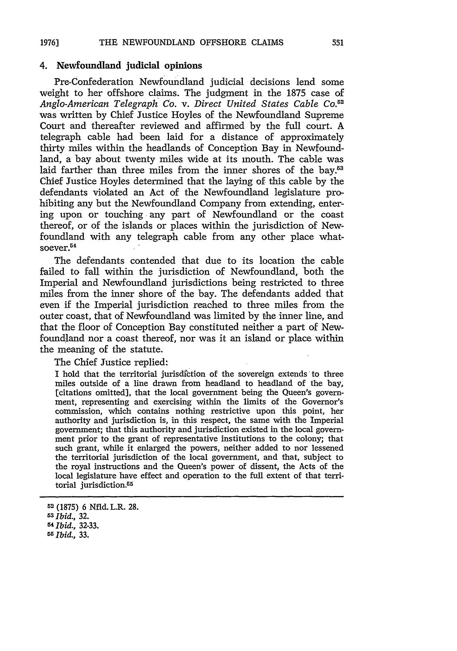### 4. Newfoundland judicial opinions

Pre-Confederation Newfoundland judicial decisions lend some weight to her offshore claims. The judgment in the 1875 case of *Anglo-American Telegraph Co. v. Direct United States Cable Co.52* was written by Chief Justice Hoyles of the Newfoundland Supreme Court and thereafter reviewed and affirmed by the full court. A telegraph cable had been laid for a distance of approximately thirty miles within the headlands of Conception Bay in Newfoundland, a bay about twenty miles wide at its mouth. The cable was laid farther than three miles from the inner shores of the bay.<sup>53</sup> Chief Justice Hoyles determined that the laying of this cable by the defendants violated an Act of the Newfoundland legislature prohibiting any but the Newfoundland Company from extending, entering upon or touching any part of Newfoundland or the coast thereof, or of the islands or places within the jurisdiction of Newfoundland with any telegraph cable from any other place whatsoever.<sup>54</sup>

The defendants contended that due to its location the cable failed to fall within the jurisdiction of Newfoundland, both the Imperial and Newfoundland jurisdictions being restricted to three miles from the inner shore of the bay. The defendants added that even if the Imperial jurisdiction reached to three miles from the outer coast, that of Newfoundland was limited by the inner line, and that the floor of Conception Bay constituted neither a part of Newfoundland nor a coast thereof, nor was it an island or place within the meaning of the statute.

The Chief Justice replied:

I hold that the territorial jurisdiction of the sovereign extends'to three miles outside of a line drawn from headland to headland of the bay, [citations omitted], that the local government being the Queen's government, representing and exercising within the limits of the Governor's commission, which contains nothing restrictive upon this point, her authority and jurisdiction is, in this respect, the same with the Imperial government; that this authority and jurisdiction existed in the local government prior to the grant of representative institutions to the colony; that such grant, while it enlarged the powers, neither added to nor lessened the territorial jurisdiction of the local government, and that, subject to the royal instructions and the Queen's power of dissent, the Acts of the local legislature have effect and operation to the full extent of that territorial jurisdiction.<sup>55</sup>

**<sup>52</sup>**(1875) 6 Nfld. L.R. 28.

*<sup>3</sup>Ibid.,* 32.

<sup>5</sup>*Ibid.,* **32-33.** *55, Ibid., 33.*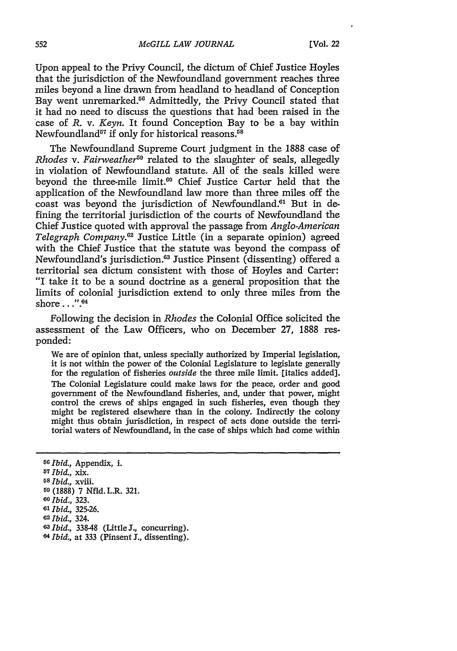Upon appeal to the Privy Council, the dictum of Chief Justice Hoyles that the jurisdiction of the Newfoundland government reaches three miles beyond a line drawn from headland to headland of Conception Bay went unremarked.<sup>56</sup> Admittedly, the Privy Council stated that it had no need to discuss the questions that had been raised in the case of R. v. *Keyn.* It found Conception Bay to be a bay within Newfoundland<sup> $57$ </sup> if only for historical reasons.<sup>58</sup>

The Newfoundland Supreme Court judgment in the 1888 case of *Rhodes v. Fairweather*<sup>59</sup> related to the slaughter of seals, allegedly in violation of Newfoundland statute. All of the seals killed were beyond the three-mile limit.<sup>60</sup> Chief Justice Carter held that the application of the Newfoundland law more than three miles off the coast was beyond the jurisdiction of Newfoundland.<sup>61</sup> But in defining the territorial jurisdiction of the courts of Newfoundland the Chief Justice quoted with approval the passage from *Anglo-American Telegraph Company.2* Justice Little (in a separate opinion) agreed with the Chief Justice that the statute was beyond the compass of Newfoundland's jurisdiction.<sup>63</sup> Justice Pinsent (dissenting) offered a territorial sea dictum consistent with those of Hoyles and Carter: "I take it to be a sound doctrine as a general proposition that the limits of colonial jurisdiction extend to only three miles from the shore..." $64$ 

Following the decision in *Rhodes* the Colonial Office solicited the assessment of the Law Officers, who on December 27, 1888 responded:

We are of opinion that, unless specially authorized by Imperial legislation, it is not within the power of the Colonial Legislature to legislate generally for the regulation of fisheries *outside* the three mile limit. [italics added]. The Colonial Legislature could make laws for the peace, order and good government of the Newfoundland fisheries, and, under that power, might control the crews of ships engaged in such fisheries, even though they might be registered elsewhere than in the colony. Indirectly the colony might thus obtain jurisdiction, in respect of acts done outside the territorial waters of Newfoundland, in the case of ships which had come within

*Ibid.,* Appendix, i. *Ibid.,* xix. *Ibid.,* xviii. (1888) 7 Nfid. L.R. 321. *Ibid.,* 323. *Ibid.,* 325-26. *62 Ibid.,* 324. *Ibid.,* 338-48 (Little J., concurring). *Ibid.,* at 333 (Pinsent **I.,** dissenting).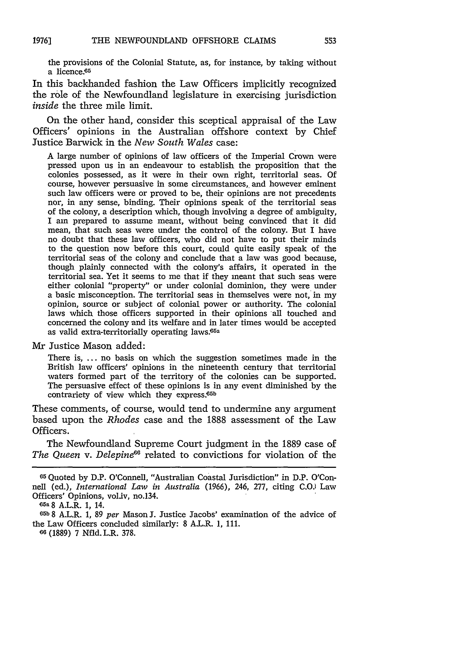the provisions of the Colonial Statute, as, for instance, by taking without a licence.<sup>65</sup>

In this back-handed fashion the Law Officers implicitly recognized the role of the Newfoundland legislature in exercising jurisdiction *inside* the three mile limit.

On the other hand, consider this sceptical appraisal of the Law Officers' opinions in the Australian offshore context by Chief Justice Barwick in the *New South Wales* case:

A large number of opinions of law officers of the Imperial Crown were pressed upon us in an endeavour to establish the proposition that the colonies possessed, as it were in their own right, territorial seas. Of course, however persuasive in some circumstances, and however eminent such law officers were or proved to be, their opinions are not precedents nor, in any sense, binding. Their opinions speak of the territorial seas of the colony, a description which, though involving a degree of ambiguity, I am prepared to assume meant, without being convinced that it did mean, that such seas were under the control of the colony. But I have no doubt that these law officers, who did not have to put their minds to the question now before this court, could quite easily speak of the territorial seas of the colony and conclude that a law was good because, though plainly connected with the colony's affairs, it operated in the territorial sea. Yet it seems to me that if they meant that such seas were either colonial "property" or under colonial dominion, they were under a basic misconception. The territorial seas in themselves were not, in my opinion, source or subject of colonial power or authority. The colonial laws which those officers supported in their opinions all touched and concerned the colony and its welfare and in later times would be accepted as valid extra-territorially operating laws.<sup>65a</sup>

Mr Justice Mason added:

There is, ... no basis on which the suggestion sometimes made in the British law officers' opinions in the nineteenth century that territorial waters formed part of the territory of the colonies can be supported. The persuasive effect of these opinions is in any event diminished by the contrariety of view which they express.<sup>65b</sup>

These comments, of course, would tend to undermine any argument based upon the *Rhodes* case and the 1888 assessment of the Law Officers.

The Newfoundland Supreme Court judgment in the 1889 case of The Queen v. Delepine<sup>66</sup> related to convictions for violation of the

**05a** 8 A.L.R. **1,** 14.

**M5b** 8 A.L.R. **1,** *89 per* Mason J. Justice Jacobs' examination of the advice of the Law Officers concluded similarly: 8 A.L.R. **1, 111.**

**<sup>60</sup>**(1889) 7 Nfid. L.R. 378.

<sup>&</sup>lt;sup>65</sup> Quoted by D.P. O'Connell, "Australian Coastal Jurisdiction" in D.P. O'Connell (ed.), *International Law in Australia* (1966), 246, 277, citing **C.O.1** Law Officers' Opinions, vol.iv, no.134.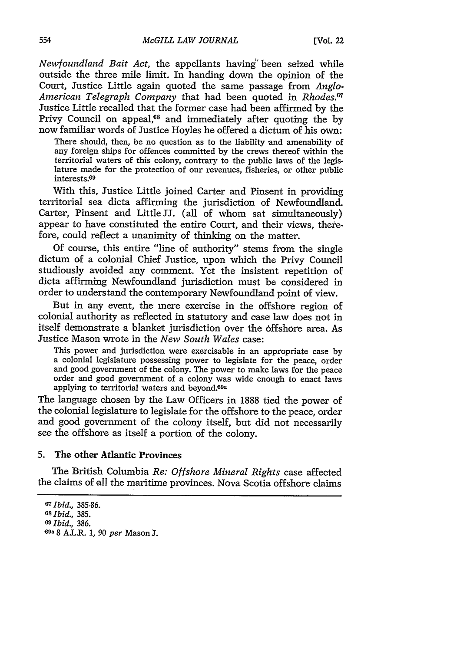*Newfoundland Bait Act,* the appellants having' been seized while outside the three mile limit. In handing down the opinion of the Court, Justice Little again quoted the same passage from *Anglo-American Telegraph Company* that had been quoted in *Rhodes.1* Justice Little recalled that the former case had been affirmed **by** the Privy Council on appeal,<sup>68</sup> and immediately after quoting the by now familiar words of Justice Hoyles he offered a dictum of his own:

There should, then, be no question as to the liability and amenability of any foreign ships for offences committed **by** the crews thereof within the territorial waters of this colony, contrary to the public laws of the legis- lature made for the protection of our revenues, fisheries, or other public interests.<sup>69</sup>

With this, Justice Little joined Carter and Pinsent in providing territorial sea dicta affirming the jurisdiction of Newfoundland. Carter, Pinsent and Little **JJ.** (all of whom sat simultaneously) appear to have constituted the entire Court, and their views, therefore, could reflect a unanimity of thinking on the matter.

**Of** course, this entire "line of authority" stems from the single dictum of a colonial Chief Justice, upon which the Privy Council studiously avoided any comment. Yet the insistent repetition of dicta affirming Newfoundland jurisdiction must be considered in order to understand the contemporary Newfoundland point of view.

But in any event, the mere exercise in the offshore region of colonial authority as reflected in statutory and case law does not in itself demonstrate a blanket jurisdiction over the 6ffshore area. As Justice Mason wrote in the *New South Wales* case:

This power and jurisdiction were exercisable in an appropriate case **by** a colonial legislature possessing power to legislate for the peace, order order and good government of a colony was wide enough to enact laws applying to territorial waters and beyond.<sup>69a</sup>

The language ohosen **by** the Law Officers in **1888** tied the power of the colonial legislature to legislate for the offshore to the peace, order and good government of the colony itself, but did not necessarily see the offshore as itself a portion of the colony.

## **5.** The other Atlantic Provinces

The British Columbia *Re: Offshore Mineral Rights* case affected the claims of all the maritime provinces. Nova Scotia offshore claims

**<sup>67</sup>***Ibid.,* **385-86. <sup>68</sup>***Ibid.,* **385.** *<sup>69</sup>Ibid.,* **386. 69a 8** A.L.R. **1,** *90 per* Mason **1.**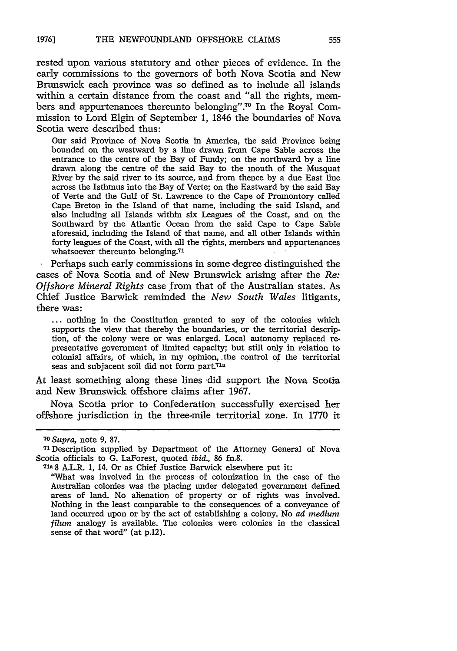rested upon various statutory and other pieces of evidence. In the early commissions to the governors of both Nova Scotia and New Brunswick each province was so defined as to include all islands within a certain distance from the coast and "all the rights, members and appurtenances thereunto belonging".<sup>70</sup> In the Royal Commission to Lord Elgin of September 1, 1846 the boundaries of Nova Scotia were described thus:

Our said Province of Nova Scotia in America, the said Province being bounded on the westward by a line drawn from Cape Sable across the entrance to the centre of the Bay of Fundy; on the northward by a line drawn along the centre of the said Bay to the mouth of the Musquat River by the said river to its source, and from thence by a due East line across the Isthmus into the Bay of Verte; on the Eastward by the said Bay of Verte and the Gulf of St. Lawrence to the Cape of Promontory called Cape Breton in the Island of that name, including the said Island, and also including all Islands within six Leagues of the Coast, and on the Southward by the Atlantic Ocean from the said Cape to Cape Sable aforesaid, including the Island of that name, and all other Islands within forty leagues of the Coast, with all the rights, members and appurtenances whatsoever thereunto belonging.<sup>71</sup>

Perhaps such early commissions in some degree distinguished the cases of Nova Scotia and of New Brunswick arising after the *Re: Offshore Mineral Rights* case from that of the Australian states. As Chief Justice Barwick reminded the *New South Wales* litigants, there was:

... nothing in the Constitution granted to any of the colonies which supports the view that thereby the boundaries, or the territorial description, of the colony were or was enlarged. Local autonomy replaced representative government of limited capacity; but still only in relation to colonial affairs, of which, in my opinion, .the control of the territorial seas and subjacent soil did not form part.<sup>71a</sup>

At least something along these lines did support the Nova Scotia and New Brunswick offshore claims after 1967.

Nova Scotia prior to Confederation successfully exercised her offshore jurisdiction in the three-mile territorial zone. In 1770 it

*<sup>70</sup>Supra,* note **9,** 87.

<sup>71</sup>Description supplied by Department of the Attorney General of Nova Scotia officials to G. LaForest, quoted *ibid.,* 86 fn.8.

<sup>71</sup>a 8 A.L.R. **1,** 14. Or as Chief Justice Barwick elsewhere put it:

<sup>&</sup>quot;What was involved in the process of colonization in the case of the Australian colonies was the placing under delegated government defined areas of land. No alienation of property or of rights was involved. Nothing in the least comparable to the consequences of a conveyance of land occurred upon or by the act of establishing a colony. No *ad medium filum* analogy is available. The colonies were colonies in the classical sense of that word" (at p.12).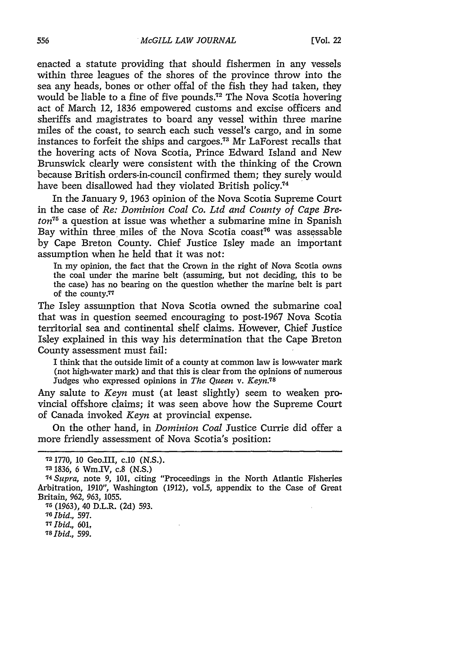enacted a statute providing that should fishermen in any vessels within three leagues of the shores of the province throw into the sea any heads, bones or other offal of the fish they had taken, they would be liable to a fine of five pounds.<sup>72</sup> The Nova Scotia hovering act of March 12, 1836 empowered customs and excise officers and sheriffs and magistrates to board any vessel within three marine miles of the coast, to search each such vessel's cargo, and in some instances to forfeit the ships and cargoes.73 Mr LaForest recalls that the hovering acts of Nova Scotia, Prince Edward Island and New Brunswick clearly were consistent with the thinking of the Crown because British orders-in-council confirmed them; they surely would have been disallowed had they violated British policy.<sup>74</sup>

In the January 9, 1963 opinion of the Nova Scotia Supreme Court in the case of *Re: Dominion Coal Co. Ltd and County of Cape Breton75* a question at issue was whether a submarine mine in Spanish Bay within three miles of the Nova Scotia coast<sup>76</sup> was assessable by Cape Breton County. Chief Justice Isley made an important assumption when he held that it was not:

In my opinion, the fact that the Crown in the right of Nova Scotia owns the coal under the marine belt (assuming, but not deciding, this to be the case) has no bearing on the question whether the marine belt is part of the county.77

The Isley assumption that Nova Scotia owned the submarine coal that was in question seemed encouraging to post-1967 Nova Scotia territorial sea and continental shelf claims. However, Chief Justice Isley explained in this way his determination that the Cape Breton County assessment must fail:

I think that the outside limit of a county at common law is low-water mark (not high-water mark) and that this is clear from the opinions of numerous Judges who expressed opinions in *The Queen v. Keyn.<sup>78</sup>*

Any salute to *Keyn* must (at least slightly) seem to weaken provincial offshore claims; it was seen above how the Supreme Court of Canada invoked *Keyn* at provincial expense.

On the other hand, in *Dominion Coal* Justice Currie did offer a more friendly assessment of Nova Scotia's position:

**7** (1963), 40 D.L.R. (2d) 593.

*<sup>76</sup>Ibid.,* 597.

*<sup>77</sup>Ibid., 601, <sup>78</sup>Ibid., 599.*

**<sup>72</sup>** 1770, 10 Geo.III, c.10 (N.S.).

**<sup>73</sup>** 1836, 6 Wm.IV, c.8 (N.S.)

**<sup>74</sup>***Supra,* note 9, 101, citing "Proceedings in the North Atlantic Fisheries Arbitration, 1910", Washington (1912), vol.5, appendix to the Case of Great Britain, 962, *963,* 1055.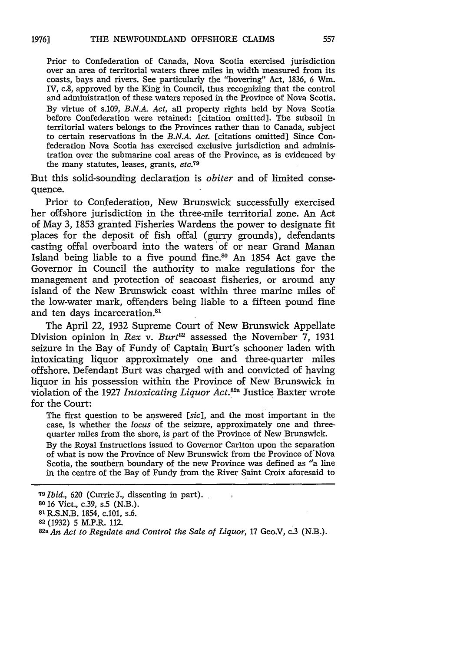Prior to Confederation of Canada, Nova Scotia exercised jurisdiction over an area of territorial waters three miles in width measured from its coasts, bays and rivers. See particularly the "hovering" Act, 1836, 6 Win. IV, c.8, approved by the King in Council, thus recognizing that the control and administration of these waters reposed in the Province of Nova Scotia. By virtue of s.109, *B.N.A. Act,* all property rights held by Nova Scotia before Confederation were retained: [citation omitted]. The subsoil in territorial waters belongs to the Provinces rather than to Canada, subject to certain reservations in the *B.N.A. Act.* [citations omitted] Since Confederation Nova Scotia has exercised exclusive jurisdiction and administration over the submarine coal areas of the Province, as is evidenced by the many statutes, leases, grants, *etc.79*

But this solid-sounding declaration is *obiter* and of limited consequence.

Prior to Confederation, New Brunswick successfully exercised her offshore jurisdiction in the three-mile territorial zone. An Act of May 3, 1853 granted Fisheries Wardens the power to designate fit places for the deposit of fish offal (gurry grounds), defendants casting offal overboard into the waters of or near Grand Manan Island being liable to a five pound fine.80 An 1854 Act gave the Governor in Council the authority to make regulations for the management and protection of seacoast fisheries, or around any island of the New Brunswick coast within three marine miles of the low-water mark, offenders being liable to a fifteen pound fine and ten days incarceration.<sup>81</sup>

The April 22, 1932 Supreme Court of New Brunswick Appellate Division opinion in *Rex v. Burt*<sup>82</sup> assessed the November 7, 1931 seizure in the Bay of Fundy of Captain Burt's schooner laden with intoxicating liquor approximately one and three-quarter miles offshore. Defendant Burt was charged with and convicted of having liquor in his possession within the Province of New Brunswick in violation of the 1927 *Intoxicating Liquor Act.82a* Justice Baxter wrote for the Court:

The first question to be answered *[sic],* and the most important in the case, is whether the *locus* of the seizure, approximately one and threequarter miles from the shore, is part of the Province of New Brunswick.

By the Royal Instructions issued to Governor Carlton upon the separation of what is now the Province of New Brunswick from the Province of'Nova Scotia, the southern boundary of the new Province was defined as "a line in the centre of the Bay of Fundy from the River Saint Croix aforesaid to

**<sup>19</sup>***Ibid.,* 620 (Currie J., dissenting in part).

**<sup>80 16</sup>** Vict., c.39, s.5 (N.B.).

**<sup>81</sup>** R.S.N.B. 1854, c.101, s.6.

**<sup>82</sup>** (1932) 5 M.P.R. 112.

**<sup>82</sup>a** *An Act to Regulate and Control the Sale of Liquor,* **17** Geo.V, c.3 (N.B.).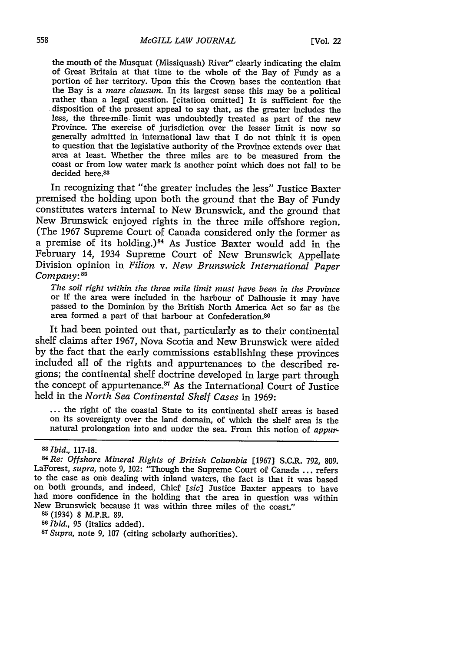the mouth of the Musquat (Missiquash) River" clearly indicating the claim of Great Britain at that time to the whole of the Bay of Fundy as a portion of her territory. Upon this the Crown bases the contention that the Bay is a *mare clausum.* In its largest sense this may be a political rather than a legal question. [citation omitted] It is sufficient for the disposition of the present appeal to say that, as the greater includes the less, the three-mile limit was undoubtedly treated as part of the new Province. The exercise of jurisdiction over the lesser limit is now so generally admitted in international law that I do not think it is open to questio area at least. Whether the three miles are to be measured from the coast or from low water mark is another point which does not fall to be decided here.<sup>83</sup>

In recognizing that "the greater includes the less" Justice Baxter premised the holding upon both the ground that the Bay of Fundy constitutes waters internal to New Brunswick, and the ground that New Brunswick enjoyed rights in the three mile offshore region. (The 1967 Supreme Court of Canada considered only the former as a premise of its holding.)<sup>84</sup> As Justice Baxter would add in the February 14, 1934 Supreme Court of New Brunswick Appellate Division opinion in *Filion v. New Brunswick International Paper Company:85*

*The soil right within the three mile limit must have been in the Province* or if the area were included in the harbour of Dalhousie it may have passed to the Dominion by the British North America Act so far as the area formed a part of that harbour at Confederation.<sup>86</sup>

It had been pointed out that, particularly as to their continental shelf claims after 1967, Nova Scotia and New Brunswick were aided by the fact that the early commissions establishing these provinces included all of the rights and appurtenances to the described regions; the continental shelf doctrine developed in large part through the concept of appurtenance. $87$  As the International Court of Justice held in the *North Sea Continental Shelf Cases* in 1969:

**-** the right of the coastal State to its continental shelf areas is based on its sovereignty over the land domain, of which the shelf area is the natural prolongation into and under the sea. From this notion of *appur-*

*<sup>83</sup>Ibid.,* 117-18.

**<sup>85</sup>**(1934) 8 M.P.R. 89.

**<sup>86</sup>***Ibid.,* 95 (italics added). *<sup>8</sup>*

*<sup>7</sup>Supra,* note 9, 107 (citing scholarly authorities).

**<sup>84</sup>**Re: *Offshore Mineral Rights of British Columbia* [1967] S.C.R. 792, 809. LaForest, *supra*, note 9, 102: "Though the Supreme Court of Canada ... refers to the case as one dealing with inland waters, the fact is that it was based on both grounds, and indeed, Chief *[sic]* Justice Baxter appears to have had more confidence in the holding that the area in question was within New Brunswick because it was within three miles of the coast."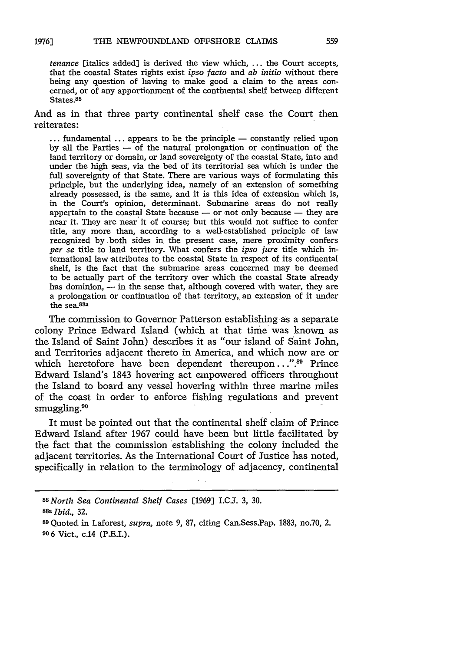*tenance* [italics added] is derived the view which, **...** the Court accepts, that the coastal States rights exist *ipso facto* and *ab initio* without there being any question of having to make good a claim to the areas concerned, or of any apportionment of the continental shelf between different States.<sup>88</sup>

And as in that three party continental shelf case the Court then reiterates:

 $\dots$  fundamental  $\dots$  appears to be the principle  $-$  constantly relied upon by all the Parties  $-$  of the natural prolongation or continuation of the land territory or domain, or land sovereignty of the coastal State, into and under the high seas, via the bed of its territorial sea which is under the full sovereignty of that State. There are various ways of formulating this principle, but the underlying idea, namely of an extension of something already possessed, is the same, and it is this idea of extension which is, in the Court's opinion, determinant. Submarine areas do not really appertain to the coastal State because  $-$  or not only because  $-$  they are near it. They are near it of course; but this would not suffice to confer title, any more than, according to a well-established principle of law recognized by both sides in the present case, mere proximity confers *per se* title to land territory. What confers the *ipso jure* title which international law attributes to the coastal State in respect of its continental shelf, is the fact that the submarine areas concerned may be deemed to be actually part of the territory over which the coastal State already has dominion,  $-$  in the sense that, although covered with water, they are a prolongation or continuation of that territory, an extension of it under the sea.<sup>88a</sup>

The commission to Governor Patterson establishing as a separate colony Prince Edward Island (which at that time was known as the Island of Saint John) describes it as "our island of Saint John, and Territories adjacent thereto in America, and which now are or which heretofore have been dependent thereupon. **.".8** Prince Edward Island's 1843 hovering act empowered officers throughout the Island to board any vessel hovering within three marine miles of the coast in order to enforce fishing regulations and prevent smuggling.<sup>90</sup>

It must be pointed out that the continental shelf claim of Prince Edward Island after 1967 could have been but little facilitated by the fact that the commission establishing the colony included the adjacent territories. As the International Court of Justice has noted, specifically in relation to the terminology of adjacency, continental

*<sup>88</sup>North Sea Continental Shelf Cases* **[1969]** I.CJ. 3, **30.**

**<sup>88</sup>a** *Ibid.,* 32.

**<sup>89</sup>**Quoted in Laforest, *supra,* note 9, 87, citing Can.Sess.Pap. 1883, no.70, 2. **90 6** Vict., c.14 (P.E.I.).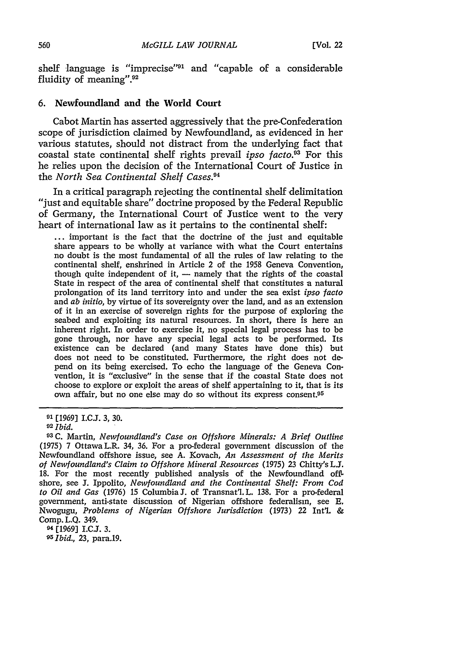shelf language is "imprecise"<sup>91</sup> and "capable of a considerable fluidity of meaning".<sup>92</sup>

#### **6.** Newfoundland and the World Court

Cabot Martin has asserted aggressively that the pre-Confederation scope of jurisdiction claimed by Newfoundland, as evidenced in her various statutes, should not distract from the underlying fact that coastal state continental shelf rights prevail *ipso facto.3* For this he relies upon the decision of the International Court of Justice in the *North Sea Continental Shelf Cases.9 <sup>4</sup>*

In a critical paragraph rejecting the continental shelf delimitation "just and equitable share" doctrine proposed by the Federal Republic of Germany, the International Court of Justice went to the very heart of international law as it pertains to the continental shelf:

**...** important is the fact that the doctrine of the just and equitable share appears to be wholly at variance with what the Court entertains no doubt is the most fundamental of all the rules of law relating to the continental shelf, enshrined in Article 2 of the 1958 Geneva Convention, though quite independent of it,  $-$  namely that the rights of the coastal State in respect of the area of continental shelf that constitutes a natural prolongation of its land territory into and under the sea exist *ipso* facto and *ab initio,* by virtue of its sovereignty over the land, and as an extension of it in an exercise of sovereign rights for the purpose of exploring the seabed and exploiting its natural resources. In short, there is here an inherent right. In order to exercise it, no special legal process has to be gone through, nor have any special legal acts to be performed. Its existence can be declared (and many States have done this) but does not need to be constituted. Furthermore, the right does not depend on its being exercised. To echo the language of the Geneva Convention, it is "exclusive" in the sense that if the coastal State does not choose to explore or exploit the areas of shelf appertaining to it, that is its own affair, but no one else may do so without its express consent.<sup>95</sup>

**9'** [1969] I.C.J. 3, 30.

 $94$ <sup>[1969]</sup> I.C.J. 3. *95Ibid.,* 23, para.19.

**<sup>92</sup>***Ibid.*

**<sup>93</sup> C.** Martin, *Newfoundland's Case on Offshore Minerals: A Brief Outline* (1975) 7 OttawaL.R. 34, 36. For a pro-federal government discussion of the Newfoundland offshore issue, see A. Kovach, *An Assessment of the Merits of Newfoundland's Claim to Offshore Mineral Resources* (1975) 23 Chitty's LJ. 18. For the most recently published analysis of the Newfoundland offshore, see J. Ippolito, *Newfoundland and the Continental Shelf: From Cod to Oil and Gas* (1976) 15 Columbia **J.** of Transnat'l. L. 138. For a pro-federal government, anti-state discussion of Nigerian offshore federalism, see **E.** Nwogugu, *Problems of Nigerian Offshore Jurisdiction* (1973) 22 Int'l. & Comp. L.Q. 349.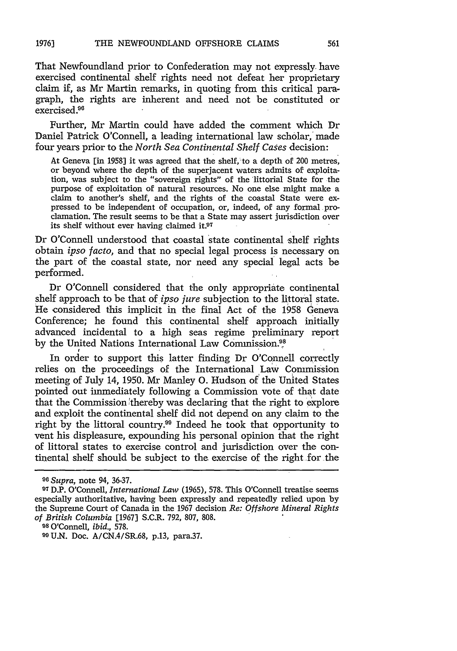That Newfoundland prior to Confederation may not expressly have exercised continental shelf rights need not defeat her proprietary claim if, as Mr Martin remarks, in quoting from this critical paragraph, the rights are inherent and need not be constituted or  $exercised<sup>96</sup>$ 

Further, Mr Martin could have added the comment which Dr Daniel Patrick O'Connell, a leading international law scholar,' made four years prior to the *North Sea Continental Shelf Cases* decision:

At Geneva [in 1958] it was agreed that the shelf, to a depth of 200 metres, or beyond where the depth of the superjacent waters admits of exploitation, was subject to the "sovereign rights" of the littorial State for the purpose of exploitation of natural resources. No one else might make a claim to another's shelf, and the rights of the coastal State were expressed to be independent of occupation, or, indeed, of any formal proclamation. The result seems to be that a State may assert jurisdiction over its shelf without ever having claimed it. $97$ 

Dr O'Connell understood that coastal state continental shelf rights obtain *ipso facto,* and that no special legal process is necessary on the part of the coastal state, nor need any special legal acts be performed.

Dr O'Connell considered that the only appropriate continental shelf approach to be that of *ipso jure* subjection to the littoral state. He considered this implicit in the final Act of the 1958 Geneva Conference; he found this continental shelf approach initially advanced incidental to a high seas regime preliminary report by the United Nations International Law Commission **98**

In order to support this latter finding Dr O'Connell correctly relies on the proceedings of the International Law Commission meeting of July 14, 1950. Mr Manley **0.** Hudson of the United States pointed out immediately following a Commission vote of that date that the Commission ithereby was declaring that the right to explore and exploit the continental shelf did not depend on any claim to the right by the littoral country.<sup>99</sup> Indeed he took that opportunity to vent his displeasure, expounding his personal opinion that the right of littoral states to exercise control and jurisdiction over the continental shelf should be subject to the exercise of the right for the

*W Supra,* note 94, 36-37.

**<sup>07</sup>**D.P. O'Connell, *International Law* (1965), 578. This O'Connell treatise seems especially authoritative, having been expressly and repeatedly relied upon by the Supreme Court of Canada in the 1967 decision *Re: Offshore Mineral Rights of British Columbia* [1967] S.C.R. 792, 807, 808.

**<sup>98</sup>**O'Connell, *ibid.,* 578.

**<sup>09</sup> U.N.** Doc. A/CN.4/SR.68, p.13, para.37.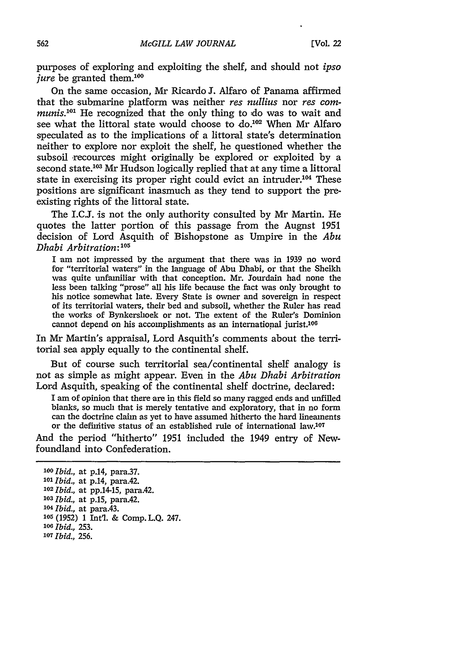purposes of exploring and exploiting the shelf, and should not *ipso jure* be granted them.<sup>100</sup>

On the same occasion, Mr Ricardo J. Alfaro of Panama affirmed that the submarine platform was neither *res nullius* nor *res communis.*<sup>101</sup> He recognized that the only thing to do was to wait and see what the littoral state would choose to  $do.^{102}$  When Mr Alfaro speculated as to the implications of a littoral state's determination neither to explore nor exploit the shelf, he questioned whether the subsoil recources might originally be explored or exploited by a second state.<sup>103</sup> Mr Hudson logically replied that at any time a littoral state in exercising its proper right could evict an intruder.<sup>104</sup> These positions are significant inasmuch as they tend to support the preexisting rights of the littoral state.

The I.C.I. is not the only authority consulted by Mr Martin. He quotes the latter portion of this passage from the Augnst 1951 decision of Lord Asquith of Bishopstone as Umpire in the *Abu Dhabi Arbitration*:<sup>105</sup>

I am not impressed by the argument that there was in 1939 no word for "territorial waters" in the language of Abu Dhabi, or that the Sheikh was quite unfamiliar with that conception. Mr. Jourdain had none the less been talking "prose" all his life because the fact was only brought to his notice somewhat late. Every State is owner and sovereign in respect of its territorial waters, their bed and subsoil, whether the Ruler has read the works of Bynkershoek or not. The extent of the Ruler's Dominion cannot depend on his accomplishments as an international jurist.106

In Mr Martin's appraisal, Lord Asquith's comments about the territorial sea apply equally to the continental shelf.

But of course such territorial sea/continental shelf analogy is not as simple as might appear. Even in the *Abu Dhabi Arbitration* Lord Asquith, speaking of the continental shelf doctrine, declared:

I am of opinion that there are in this field so many ragged ends and unfilled blanks, so much that is merely tentative and exploratory, that in no form can the doctrine claim as yet to have assumed hitherto the hard lineaments or the definitive status of an established rule of international law.<sup>107</sup>

And the period "hitherto" 1951 included the 1949 entry of Newfoundland into Confederation.

*Ibid.,* at p.14, para.37. *lOl Ibid.,* at p.14, para.42. *Ibid.,* at pp.14-15, para.42. *Ibid.,* at p.15, para.42. *- <sup>0</sup> <sup>4</sup>Ibid.,* at para.43. (1952) 1 Int'l. & Comp. L.Q. 247. *Ibid.,* 253. *Ibid.*, 256.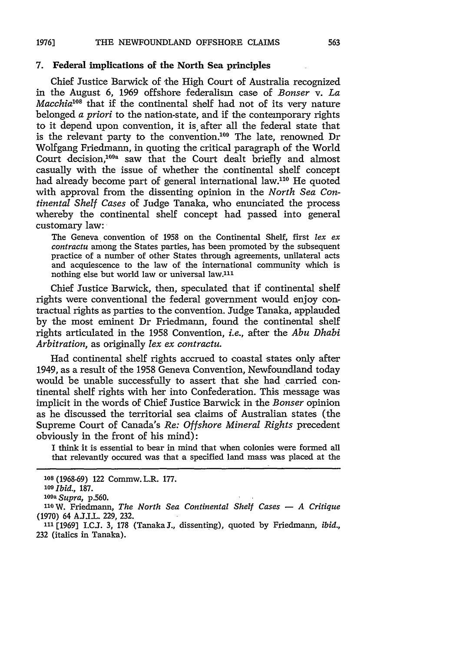#### **7.** Federal implications of the North Sea principles

Chief Justice Barwick of the High Court of Australia recognized in the August **6,** 1969 offshore federalism case of *Bonser v. La Macchia'18* that if the continental shelf had not of its very nature belonged *a priori* to the nation-state, and if the contemporary rights to it depend upon convention, it is after all the federal state that is the relevant party to the convention.<sup>109</sup> The late, renowned Dr Wolfgang Friedmann, in quoting the critical paragraph of the World Court decision,<sup>109a</sup> saw that the Court dealt briefly and almost casually with the issue of whether the continental shelf concept had already become part of general international law.<sup>110</sup> He quoted with approval from the dissenting opinion in the *North Sea Continental Shelf Cases* of Judge Tanaka, who enunciated the process whereby the continental shelf concept had passed into general customary law:

The Geneva convention of 1958 on the Continental Shelf, first *lex ex contractu* among the States parties, has been promoted by the subsequent practice of a number of other States through agreements, unilateral acts and acquiescence to the law of the international community which is nothing else but world law or universal law.<sup>111</sup>

Chief Justice Barwick, then, speculated that if continental shelf rights were conventional the federal government would enjoy contractual rights as parties to the convention. Judge Tanaka, applauded by the most eminent Dr Friedmann, found the continental shelf rights articulated in the 1958 Convention, *i.e.,* after the *Abu Dhabi Arbitration,* as originally *lex ex contractu.*

Had continental shelf rights accrued to coastal states only after 1949, as a result of the 1958 Geneva Convention, Newfoundland today would be unable successfully to assert that she had carried continental shelf rights with her into Confederation. This message was implicit in the words of Chief Justice Barwick in the *Bonser* opinion as he discussed the territorial sea claims of Australian states (the Supreme Court of Canada's *Re: Offshore Mineral Rights* precedent obviously in the front of his mind):

I think it is essential to bear in mind that when colonies were formed all that relevantly occured was that a specified land mass was placed at the

*a Supra,* **p.560. 110W.** Friedmann, *The North Sea Continental Shelf Cases* **-** *A Critique* (1970) 64 AJ.I.L. 229, 232.

**<sup>111</sup>[1969] I.CJ.** 3, 178 (Tanaka **J.,** dissenting), quoted **by** Friedmann, *ibid.,* 232 (italics in Tanaka).

**<sup>108</sup>** (1968-69) 122 Commw. L.R. 177.

**<sup>109</sup>***Ibid.,* 187.

*<sup>1</sup> 0 9*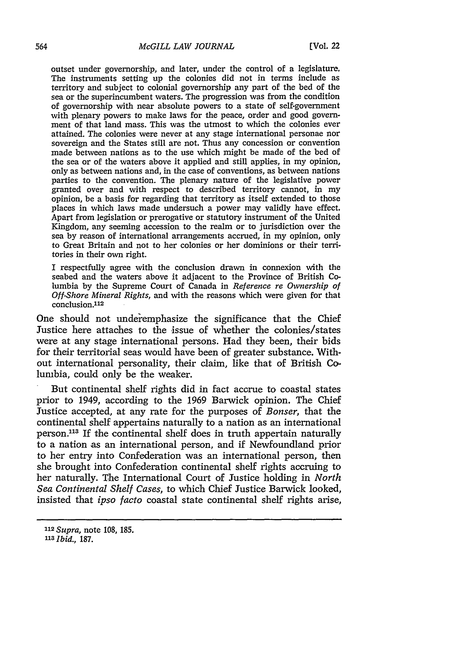outset under governorship, and later, under the control of a legislature. The instruments setting up the colonies did not in terms include as territory and subject to colonial governorship any part of the bed of the sea or the superincumbent waters. The progression was from the condition of governorship with near absolute powers to a state of self-government with plenary powers to make laws for the peace, order and good government of that land mass. This was the utmost to which the colonies ever attained. The colonies were never at any stage international personae nor sovereign and the States still are not. Thus any concession or convention made between nations as to the use which might be made of the bed of the sea or of the waters above it applied and still applies, in my opinion, only as between nations and, in the case of conventions, as between nations parties to the convention. The plenary nature of the legislative power granted over and with respect to described territory cannot, in my opinion, be a basis for regarding that territory as itself extended to those places in which laws made undersuch a power may validly have effect. Apart from legislation or prerogative or statutory instrument of the United Kingdom, any seeming accession to the realm or to jurisdiction over the sea by reason of international arrangements accrued, in my opinion, only to Great Britain and not to her colonies or her dominions or their territories in their own right.

I respectfully agree with the conclusion drawn in connexion with the seabed and the waters above it adjacent to the Province of British Columbia by the Supreme Court of Canada in *Reference re Ownership of Off-Shore Mineral Rights,* and with the reasons which were given for that conclusion.<sup>112</sup>

One should not underemphasize the significance that the Chief Justice here attaches to the issue of whether the colonies/states were at any stage international persons. Had they been, their bids for their territorial seas would have been of greater substance. Without international personality, their claim, like that of British Columbia, could only be the weaker.

But continental shelf rights did in fact accrue to coastal states prior to 1949, according to the 1969 Barwick opinion. The Chief Justice accepted, at any rate for the purposes of *Bonser,* that the continental shelf appertains naturally to a nation as an international person.<sup>113</sup> If the continental shelf does in truth appertain naturally to a nation as an international person, and if Newfoundland prior to her entry into Confederation was an international person, then she brought into Confederation continental shelf rights accruing to her naturally. The International Court of Justice holding in *North Sea Continental Shelf Cases,* to which Chief Justice Barwick looked, insisted that *ipso facto* coastal state continental shelf rights arise,

*<sup>112</sup> Supra,* note 108, 185.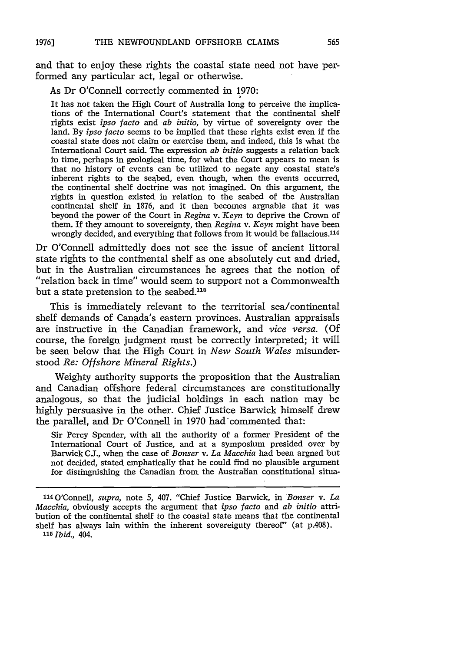and that to enjoy these rights the coastal state need not have performed any particular act, legal or otherwise.

As Dr O'Connell correctly commented in 1970:

It has not taken the High Court of Australia long to perceive the implications of the International Court's statement that the continental shelf rights exist *ipso facto* and *ab initio,* by virtue of sovereignty over the land. By *ipso facto* seems to be implied that these rights exist even if the coastal state does not claim or exercise them, and indeed, this is what the International Court said. The expression *ab initio* suggests a relation back in time, perhaps in geological time, for what the Court appears to mean is that no history of events can be utilized to negate any coastal state's inherent rights to the seabed, even though, when the events occurred, the continental shelf doctrine was not imagined. On this argument, the rights in question existed in relation to the seabed of the Australian continental shelf in 1876, and it then becomes arguable that it was beyond the power of the Court in *Regina v. Keyn* to deprive the Crown of them. If they amount to sovereignty, then *Regina v. Keyn* might have been wrongly decided, and everything that follows from it would be fallacious.<sup>114</sup>

Dr O'Connell admittedly does not see the issue of ancient littoral state rights to the continental shelf as one absolutely cut and dried, but in the Australian circumstances he agrees that the notion of "relation back in time" would seem to support not a Commonwealth but a state pretension to the seabed.<sup>115</sup>

This is immediately relevant to the territorial sea/continental shelf demands of Canada's eastern provinces. Australian appraisals are instructive in the Canadian framework, and *vice versa.* (Of course, the foreign judgment must be correctly interpreted; it will be seen below that the High Court in *New South Wales* misunderstood *Re: Offshore Mineral Rights.)*

Weighty authority supports the proposition that the Australian and Canadian offshore federal circumstances are constitutionally analogous, so that the judicial holdings in each nation may be highly persuasive in the other. Chief Justice Barwick himself drew the parallel, and Dr O'Connell in 1970 had commented that:

Sir Percy Spender, with all the authority of a former President of the International Court of Justice, and at a symposium presided over by Barwick C.J., when the case of *Bonser v. La Macchia* had been argned but not decided, stated emphatically that he could find no plausible argument for distingnishing the Canadian from the Australian constitutional situa-

<sup>114</sup> O'Connell, *supra*, note 5, 407. "Chief Justice Barwick, in *Bonser v. La Macchia,* obviously accepts the argument that *ipso facto* and *ab initio* attribution of the continental shelf to the coastal state means that the continental shelf has always lain within the inherent sovereiguty thereof" (at p.408). *15 Ibid.,* 404.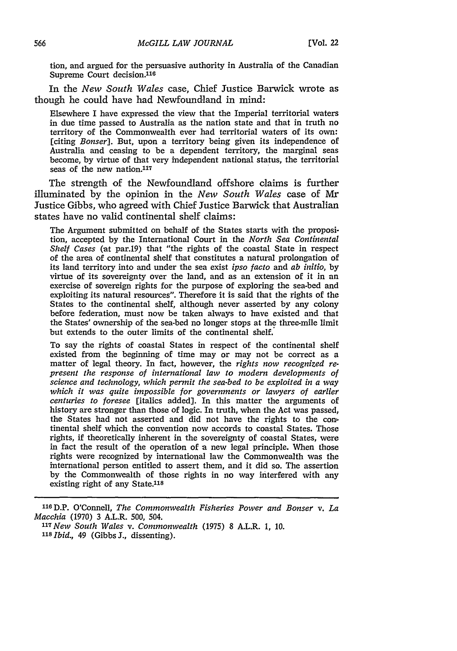tion, and argued for the persuasive authority in Australia of the Canadian Supreme Court decision.<sup>116</sup>

In the *New South Wales* case, Chief Justice Barwick wrote as though he could have had Newfoundland in mind:

Elsewhere I have expressed the view that the Imperial territorial waters in due time passed to Australia as the nation state and that in truth no territory of the Commonwealth ever had territorial waters of its own: [citing *Bonser].* But, upon a territory being given its independence of Australia and ceasing to be a dependent territory, the marginal seas become, by virtue of that very independent national status, the territorial seas of the new nation.<sup>117</sup>

The strength of the Newfoundland offshore claims is further illuminated by the opinion in the *New South Wales* case of Mr Justice Gibbs, who agreed with Chief Justice Barwick that Australian states have no valid continental shelf claims:

The Argument submitted on behalf of the States starts with the proposition, accepted by the International Court in the *North Sea Continental Shelf Cases* (at par.19) that "the rights of the coastal State in respect of the area of continental shelf that constitutes a natural prolongation of its land territory into and under the sea exist *ipso facto* and *ab initio,* by virtue of its sovereignty over the land, and as an extension of it in an exercise of sovereign rights for the purpose of exploring the sea-bed and exploiting its natural resources". Therefore it is said that the rights of the States to the continental shelf, although never asserted by any colony before federation, must now be taken always to have existed and that the States' ownership of the sea-bed no longer stops at the three-mile limit but extends to the outer limits of the continental shelf.

To say the rights of coastal States in respect of the continental shelf existed from the beginning of time may or may not be correct as a matter of legal theory. In fact, however, the *rights now recognized represent the response of international law to modern developments of science and technology, which permit the sea-bed to be exploited in a way which it was quite impossible for governments or lawyers of earlier centuries to foresee* [italics added]. In this matter the arguments of history are stronger than those of logic. In truth, when the Act was passed, the States had not asserted and did not have the rights to the con tinental shelf which the convention now accords to coastal States. Those rights, if theoretically inherent in the sovereignty of coastal States, were in fact the result of the operation of a new legal principle. When those rights were recognized by international law the Commonwealth was the international person entitled to assert them, and it did so. The assertion by the Commonwealth of those rights in no way interfered with any existing right of any State.118

<sup>116</sup> D.P. O'Connell, *The Commonwealth Fisheries Power and Bonser v. La Macchia* (1970) 3 A.L.R. 500, 504.

*<sup>117</sup> New South Wales v. Commonwealth* (1975) 8 A.L.R. 1, 10. *<sup>118</sup>Ibid.,* 49 (Gibbs J., dissenting).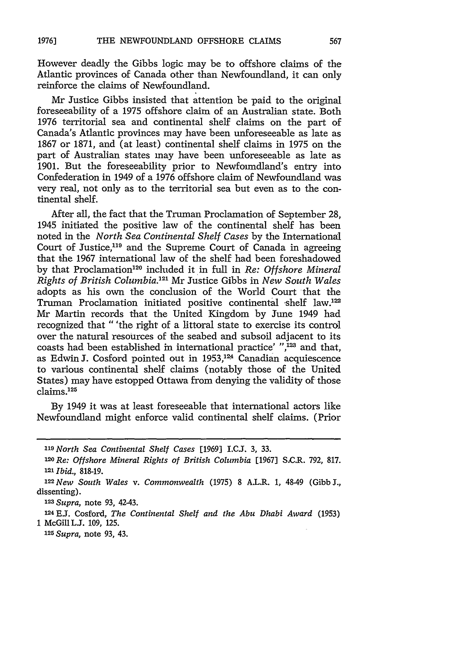However deadly the Gibbs logic may be to offshore claims of the Atlantic provinces of Canada other than Newfoundland, it can only reinforce the claims of Newfoundland.

Mr Justice Gibbs insisted that attention be paid to the original foreseeability of a 1975 offshore claim of an Australian state. Both 1976 territorial sea and continental shelf claims on the part of Canada's Atlantic provinces may have been unforeseeable as late as 1867 or 1871, and (at least) continental shelf claims in 1975 on the part of Australian states may have been unforeseeable as late as 1901. But the foreseeability prior to Newfoundland's entry into Confederation in 1949 of a 1976 offshore claim of Newfoundland was very real, not only as to the territorial sea but even as to the continental shelf.

After all, the fact that the Truman Proclamation of September 28, 1945 initiated the positive law of the continental shelf has been noted in the *North Sea Continental Shelf Cases* by the International Court of Justice,119 and the Supreme Court of Canada in agreeing that the 1967 international law of the shelf had been foreshadowed by that Proclamation 120 included it in full in *Re: Offshore Mineral Rights of British Columbia. 211* Mr Justice Gibbs in *New South Wales* adopts as his own the conclusion of the World Court that the Truman Proclamation initiated positive continental shelf law.<sup>122</sup> Mr Martin records that the United Kingdom by June 1949 had recognized that "'the right of a littoral state to exercise its control over the natural resources of the seabed and subsoil adjacent to its coasts had been established in international practice' ",<sup>123</sup> and that, as Edwin J. Cosford pointed out in 1953,<sup>124</sup> Canadian acquiescence to various continental shelf claims (notably those of the United States) may have estopped Ottawa from denying the validity of those  $claims.<sup>125</sup>$ 

By 1949 it was at least foreseeable that international actors like Newfoundland might enforce valid continental shelf claims. (Prior

*123 Supra,* note 93, 42-43.

**124 E.J.** Cosford, *The Continental Shelf and the Abu Dhabi Award* (1953) 1 McGill L.J. 109, 125.

*125 Supra,* note 93, 43.

**<sup>119</sup>***North Sea Continental Shelf Cases* [1969] I.C.J. 3, 33.

**<sup>10</sup>Re:** *Offshore Mineral Rights of British Columbia* [1967] SC.R. 792, 817. **<sup>121</sup>***Ibid.,* 818-19.

<sup>122</sup>New *South Wales v. Commonwealth* (1975) 8 A.L.R. **1,** 48-49 (GibbS., dissenting).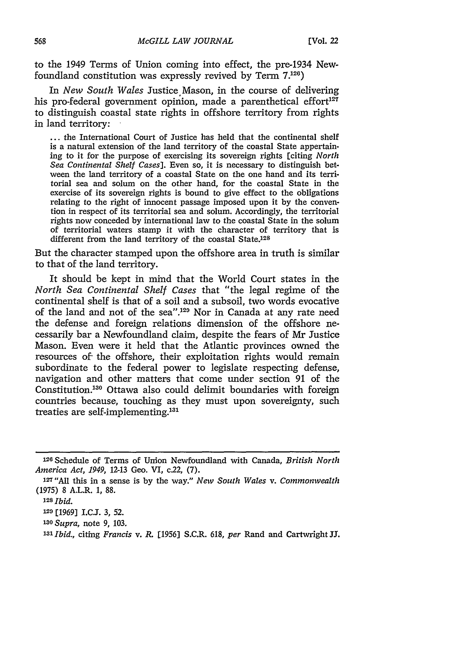to the 1949 Terms of Union coming into effect, the pre-1934 Newfoundland constitution was expressly revived by Term 7.126)

In *New South Wales* Justice.Mason, in the course of delivering his pro-federal government opinion, made a parenthetical effort<sup>127</sup> to distinguish coastal state rights in offshore territory from rights in land territory:

... the International Court of Justice has held that the continental shelf is a natural extension of the land territory of the coastal State appertaining to it for the purpose of exercising its sovereign rights [citing *North Sea Continental Shelf Cases].* Even so, it is necessary to distinguish between the land territory of a coastal State on the one hand and its territorial sea and solum on the other band, for the coastal State in the exercise of its sovereign rights is bound to give effect to the obligations relating to the right of innocent passage imposed upon it by the convention in respect of its territorial sea and solum. Accordingly, the territorial rights now conceded by international law to the coastal State in the solum of territorial waters stamp it with the character of territory that is different from the land territory of the coastal State.128

But the character stamped upon the offshore area in truth is similar to that of the land territory.

It should be kept in mind that the World Court states in the *North Sea Continental Shelf Cases* that "the legal regime of the continental shelf is that of a soil and a subsoil, two words evocative of the land and not of the sea".<sup>129</sup> Nor in Canada at any rate need the defense and foreign relations dimension of the offshore necessarily bar a Newfoundland claim, despite the fears of Mr Justice Mason. Even were it held that the Atlantic provinces owned the resources of the offshore, their exploitation rights would remain subordinate to the federal power to legislate respecting defense, navigation and other matters that come under section **91** of the Constitution.<sup>130</sup> Ottawa also could delimit boundaries with foreign countries because, touching as they must upon sovereignty, such treaties are self-implementing.'

*1 <sup>30</sup>Supra,* note 9, 103.

*I'Ibid.,* citing *Francis v. R.* **[1956]** S.C.R. 618, *per* Rand and Cartwright JJ.

<sup>126</sup> Schedule of Terms of Union Newfoundland with Canada, *British North America Act, 1949,* **12-13** Geo. VI, c.22, (7).

**<sup>1</sup> <sup>2</sup> <sup>7</sup>**"All this in a sense is by the way." *New South Wales v. Commonwealth* (1975) 8 A.L.R. **1,** 88.

**<sup>128</sup>***Ibid.*

**<sup>129</sup>**[1969] I.CJ. **3,** 52.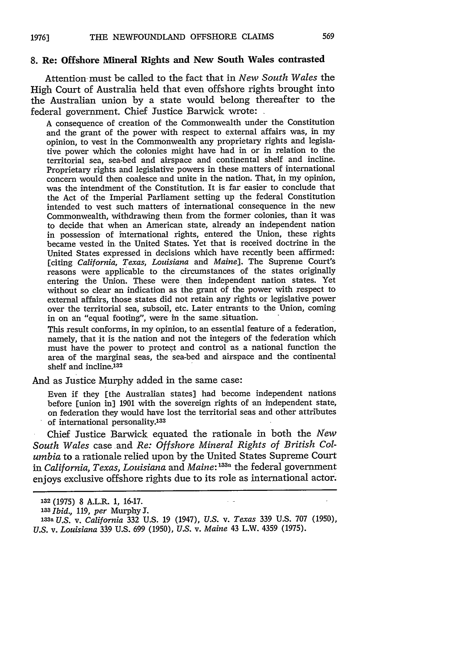## **8. Re: Offshore Mineral Rights and New South Wales contrasted**

Attention must be called to the fact that in *New South Wales* the High Court of Australia held that even offshore rights brought into the Australian union by a state would belong thereafter to the federal government. Chief Justice Barwick wrote:

A consequence of creation of the Commonwealth under the Constitution and the grant of the power with respect to external affairs was, in my opinion, to vest in the Commonwealth any proprietary rights and legislative power which the colonies might have had in or in relation to the territorial sea, sea-bed and airspace and continental shelf and incline. Proprietary rights and legislative powers in these matters of international concern would then coalesce and unite in the nation. That, in my opinion, was the intendment of the Constitution. It is far easier to conclude that the Act of the Imperial Parliament setting up the federal Constitution intended to vest such matters of international consequence in the new Commonwealth, withdrawing them from the former colonies, than it was to decide that when an American state, already an independent nation in possession of international rights, entered the Union, these rights became vested in the United States. Yet that is received doctrine in the United States expressed in decisions which have recently been affirmed: [citing *California, Texas, Louisiana and Maine].* The Supreme Court's reasons were applicable to the circumstances of the states originally entering the Union. These were then independent nation states. Yet without so clear an indication as the grant of the power with respect to external affairs, those states did not retain any rights or legislative power over the territorial sea, subsoil, etc. Later entrants to the Union, coming in on an "equal footing", were in the same situation.

This result conforms, in my opinion, to an essential feature of a federation, namely, that it is the nation and not the integers of the federation which must have the power to protect and control as a national function the area of the marginal seas, the sea-bed and airspace and the continental shelf and incline.<sup>132</sup>

And as Justice Murphy added in the same case:

Even if they [the Australian states] had become independent nations before [union in] 1901 with the sovereign rights of an independent state, on federation they would have lost the territorial seas and other attributes of international personality.<sup>133</sup>

Chief Justice Barwick equated the rationale in both the *New South Wales* case and *Re: Offshore Mineral Rights of British Columbia* to a rationale relied upon by the United States Supreme Court *in California, Texas, Louisiana* and *Maine:* **133a** the federal government enjoys exclusive offshore rights due to its role as international actor.

**<sup>132 (1975) 8</sup> A.L.R. 1, 16-17.**

*<sup>&#</sup>x27;3 Ibid.,* 119, *per* Murphy3.

<sup>&#</sup>x27;33a *U.S. v. California* 332 U.S. 19 (1947), *U.S. v. Texas* 339 U.S. 707 (1950), *U.S. v. Louisiana* 339 U.S. 699 (1950), *U.S. v. Maine* 43 L.W. 4359 (1975).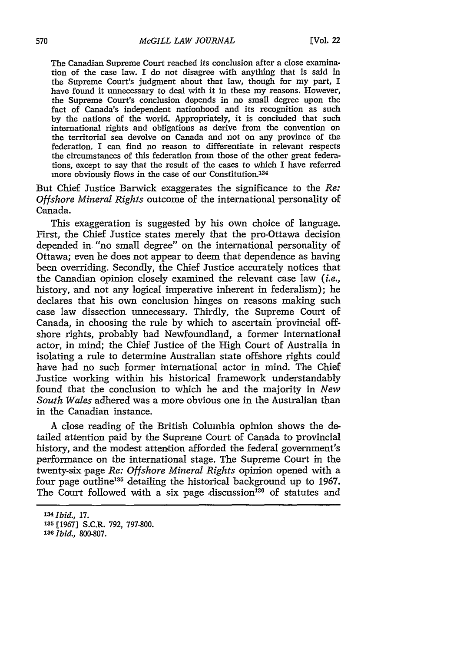The Canadian Supreme Court reached its conclusion after a close examination of the case law. I do not disagree with anything that is said in the Supreme Court's judgment about that law, though for my part, I have found it unnecessary to deal with it in these my reasons. However, the Supreme Court's conclusion depends in no small degree upon the fact of Canada's independent nationhood and its recognition as such by the nations of the world. Appropriately, it is concluded that such international rights and obligations as derive from the convention on the territorial sea devolve on Canada and not on any province of the federation. I can find no reason to differentiate in relevant respects the circumstances of this federation from those of the other great federations, except to say that the result of the cases to which I have referred more obviously flows in the case of our Constitution.<sup>134</sup>

But Chief Justice Barwick exaggerates the significance to the *Re: Offshore Mineral Rights* outcome of the international personality of Canada.

This exaggeration is suggested by his own choice of language. First, the Chief Justice states merely that the pro-Ottawa decision depended in "no small degree" on the international personality of Ottawa; even he does not appear to deem that dependence as having been overriding. Secondly, the Chief Justice accurately notices that the Canadian opinion closely examined the relevant case law *(i.e.,* history, and not any logical imperative inherent in federalism); he declares that his own conclusion hinges on reasons making such case law dissection unnecessary. Thirdly, the Supreme Court of Canada, in choosing the rule by which to ascertain 'provincial offshore rights, probably had Newfoundland, a former international actor, in mind; the Chief Justice of the High Court of Australia in isolating a rule to determine Australian state offshore rights could have had no such former international actor in mind. The Chief Justice working within his historical framework understandably found that the conclusion to which he and the majority in *New South Wales* adhered was a more obvious one in the Australian than in the Canadian instance.

A close reading of the British Columbia opinion shows the detailed attention paid by the Supreme Court of Canada to provincial history, and the modest attention afforded the federal government's performance on the international stage. The Supreme Court in the twenty-six page *Re: Offshore Mineral Rights* opinion opened with a four page outline<sup>135</sup> detailing the historical background up to 1967. The Court followed with a six page discussion<sup>136</sup> of statutes and

*<sup>134</sup> Ibid.,* 17. **135** [1967] S.C.R. 792, 797-800. *<sup>136</sup>Ibid.,* 800-807.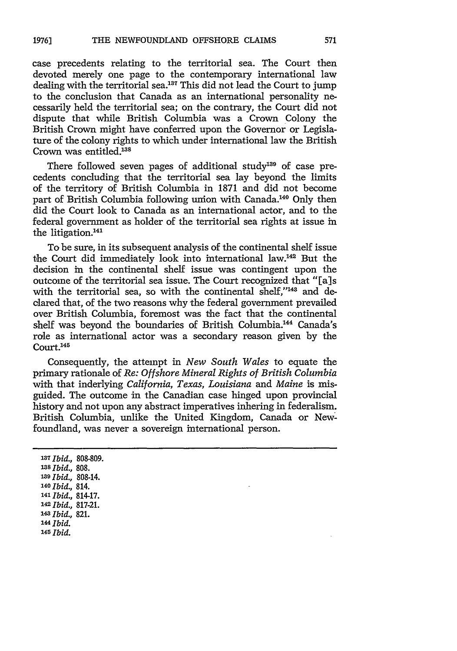case precedents relating to the territorial sea. The Court then devoted merely one page to the contemporary international law dealing with the territorial sea.<sup>137</sup> This did not lead the Court to jump to the conclusion that Canada as an international personality necessarily held the territorial sea; on the contrary, the Court did not dispute that while British Columbia was a Crown Colony the British Crown might have conferred upon the Governor or Legislature of the colony rights to which under international law the British Crown was entitled.138

There followed seven pages of additional study<sup>139</sup> of case precedents concluding that the territorial sea lay beyond the limits of the territory of British Columbia in 1871 and did not become part of British Columbia following union with Canada.<sup>140</sup> Only then did the Court look to Canada as an international actor, and to the federal government as holder of the territorial sea rights at issue in the litigation.<sup>141</sup>

To be sure, in its subsequent analysis of the continental shelf issue the Court did immediately look into international law.142 But the decision in the continental shelf issue was contingent upon the outcome of the territorial sea issue. The Court recognized that "[a]s with the territorial sea, so with the continental shelf,"<sup>143</sup> and declared that, of the two reasons why the federal government prevailed over British Columbia, foremost was the fact that the continental shelf was beyond the boundaries of British Columbia.<sup>144</sup> Canada's role as international actor was a secondary reason given by the Court.<sup>145</sup>

Consequently, the attempt in *New South Wales* to equate the primary rationale of *Re: Offshore Mineral Rights of British Columbia* with that inderlying *California, Texas, Louisiana and Maine* is misguided. The outcome in the Canadian case hinged upon provincial history and not upon any abstract imperatives inhering in federalism. British Columbia, unlike the United Kingdom, Canada or Newfoundland, was never a sovereign international person.

**1'7** *Ibid.,* 808-809. *<sup>138</sup>Ibid.,* 808. **<sup>139</sup>***Ibid.,* 808-14. *<sup>140</sup>Ibid.,* 814. *<sup>141</sup>Ibid.,* 814-17. *142 Ibid.,* **817-21.** *'43Ibid.,* 821. *14Ibid.* **<sup>145</sup>***Ibid.*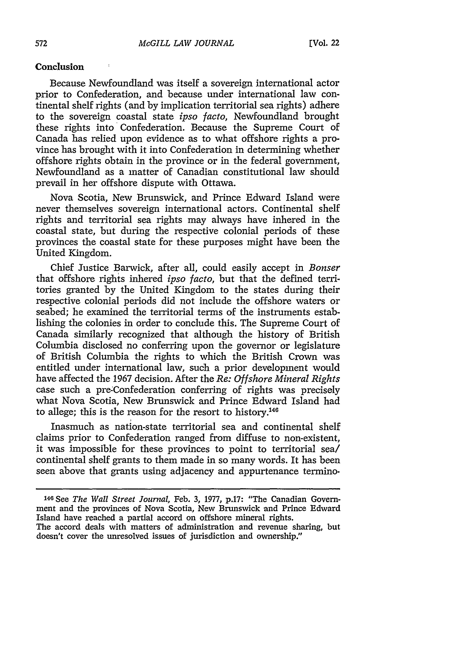#### **Conclusion**

Because Newfoundland was itself a sovereign international actor prior to Confederation, and because under international law continental shelf rights (and by implication territorial sea rights) adhere to the sovereign coastal state *ipso facto,* Newfoundland brought these rights into Confederation. Because the Supreme Court of Canada has relied upon evidence as to what offshore rights a province has brought with it into Confederation in determining whether offshore rights obtain in the province or in the federal government, Newfoundland as a matter of Canadian constitutional law should prevail in her offshore dispute with Ottawa.

Nova Scotia, New Brunswick, and Prince Edward Island were never themselves sovereign international actors. Continental shelf rights and territorial sea rights may always have inhered in the coastal state, but during the respective colonial periods of these provinces the coastal state for these purposes might have been the United Kingdom.

Chief Justice Barwick, after all, could easily accept in *Bonser* that offshore rights inhered *ipso facto,* but that the defined territories granted by the United Kingdom to the states during their respective colonial periods did not include the offshore waters or seabed; he examined the territorial terms of the instruments establishing the colonies in order to conclude this. The Supreme Court of Canada similarly recognized that although the history of British Columbia disclosed no conferring upon the governor or legislature of British Columbia the rights to which the British Crown was entitled under international law, such a prior development would have affected the 1967 decision. After the *Re: Offshore Mineral Rights* case such a pre-Confederation conferring of rights was precisely what Nova Scotia, New Brunswick and Prince Edward Island had to allege; this is the reason for the resort to history. $146$ 

Inasmuch as nation-state territorial sea and continental shelf claims prior to Confederation ranged from diffuse to non-existent, it was impossible for these provinces to point to territorial sea/ continental shelf grants to them made in so many words. It has been seen above that grants using adjacency and appurtenance termino-

**<sup>146</sup>** See *The Wall Street Journal,* Feb. 3, 1977, p.17: "The Canadian Government and the provinces of Nova Scotia, New Brunswick and Prince Edward Island have reached a partial accord on offshore mineral rights. The accord deals with matters of administration and revenue sharing, but doesn't cover the unresolved issues of jurisdiction and ownership."